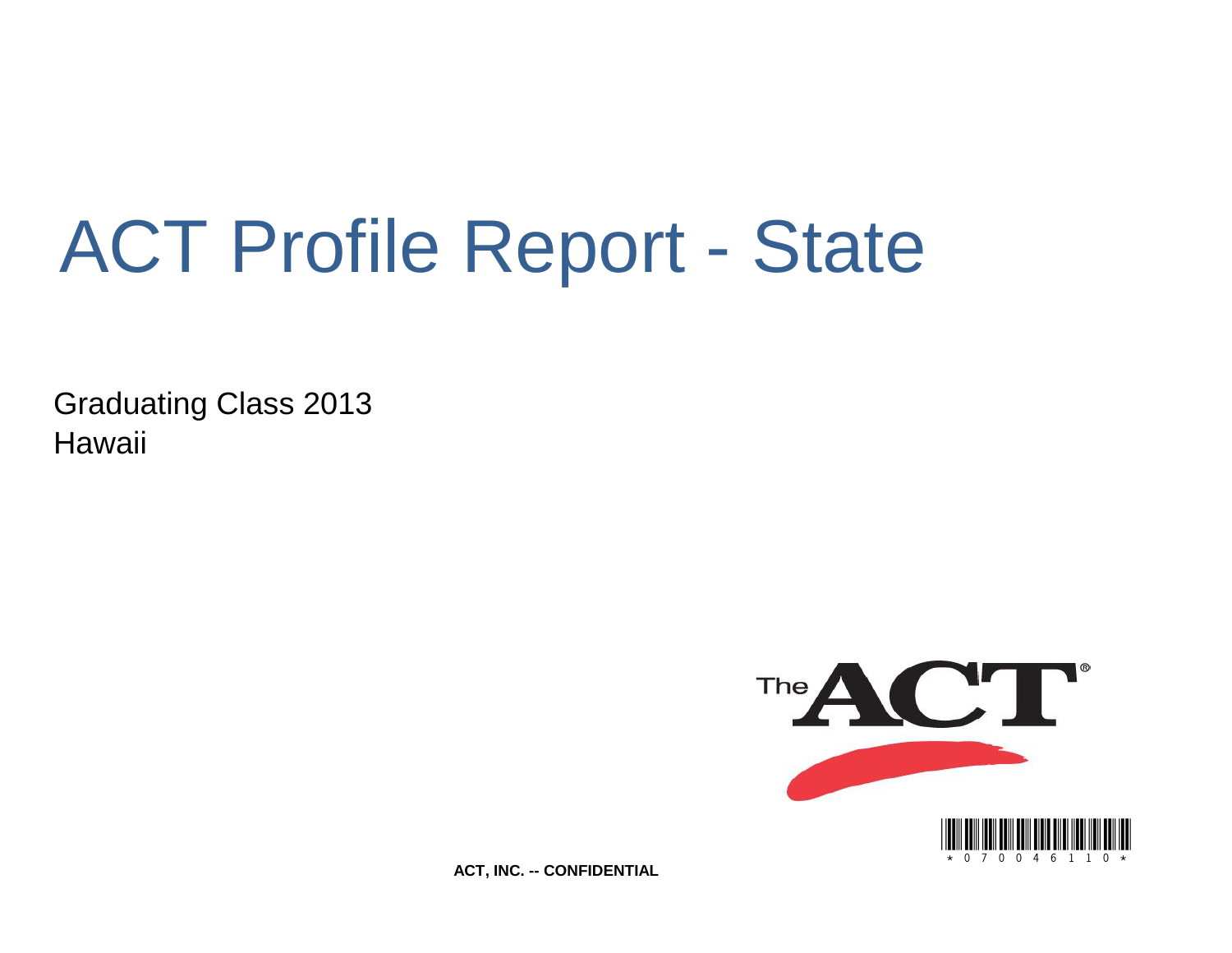# ACT Profile Report - State

Graduating Class 2013 **Hawaii** 



**ACT, INC. -- CONFIDENTIAL**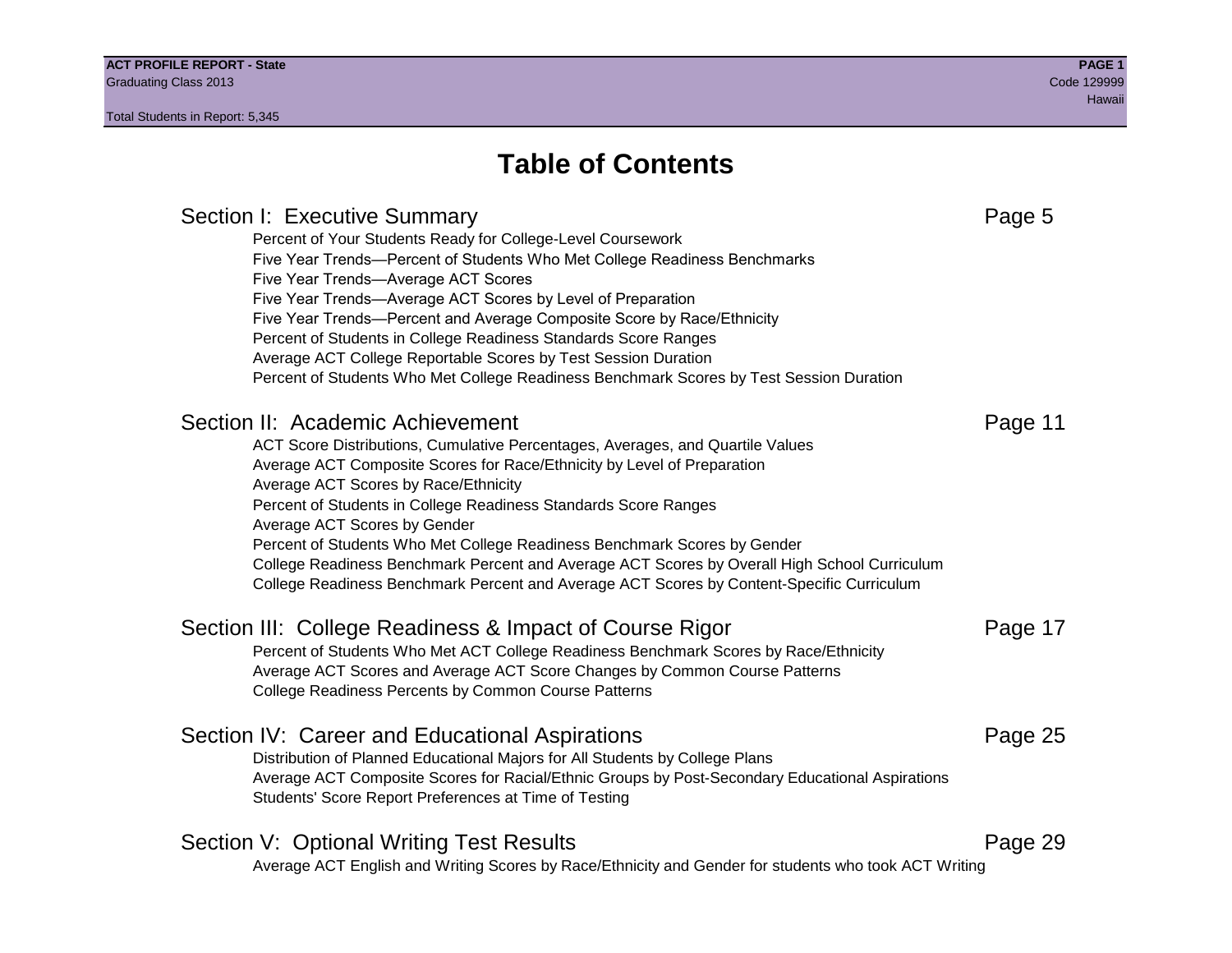# **Table of Contents**

# Section I: Executive Summary **Page 5** and the section I: Executive Summary Percent of Your Students Ready for College-Level Coursework Five Year Trends—Percent of Students Who Met College Readiness Benchmarks Five Year Trends—Average ACT Scores Five Year Trends—Average ACT Scores by Level of Preparation Five Year Trends—Percent and Average Composite Score by Race/Ethnicity Percent of Students in College Readiness Standards Score Ranges Average ACT College Reportable Scores by Test Session Duration Percent of Students Who Met College Readiness Benchmark Scores by Test Session Duration Section II: Academic Achievement **Page 11** Academic Achievement ACT Score Distributions, Cumulative Percentages, Averages, and Quartile Values Average ACT Composite Scores for Race/Ethnicity by Level of Preparation Average ACT Scores by Race/Ethnicity Percent of Students in College Readiness Standards Score Ranges Average ACT Scores by Gender Percent of Students Who Met College Readiness Benchmark Scores by Gender College Readiness Benchmark Percent and Average ACT Scores by Overall High School Curriculum College Readiness Benchmark Percent and Average ACT Scores by Content-Specific Curriculum Section III: College Readiness & Impact of Course Rigor Page 17 Percent of Students Who Met ACT College Readiness Benchmark Scores by Race/Ethnicity Average ACT Scores and Average ACT Score Changes by Common Course Patterns College Readiness Percents by Common Course Patterns Section IV: Career and Educational Aspirations **Page 25** Page 25 Distribution of Planned Educational Majors for All Students by College Plans Average ACT Composite Scores for Racial/Ethnic Groups by Post-Secondary Educational Aspirations Students' Score Report Preferences at Time of Testing Section V: Optional Writing Test Results **Page 29** Page 29 Average ACT English and Writing Scores by Race/Ethnicity and Gender for students who took ACT Writing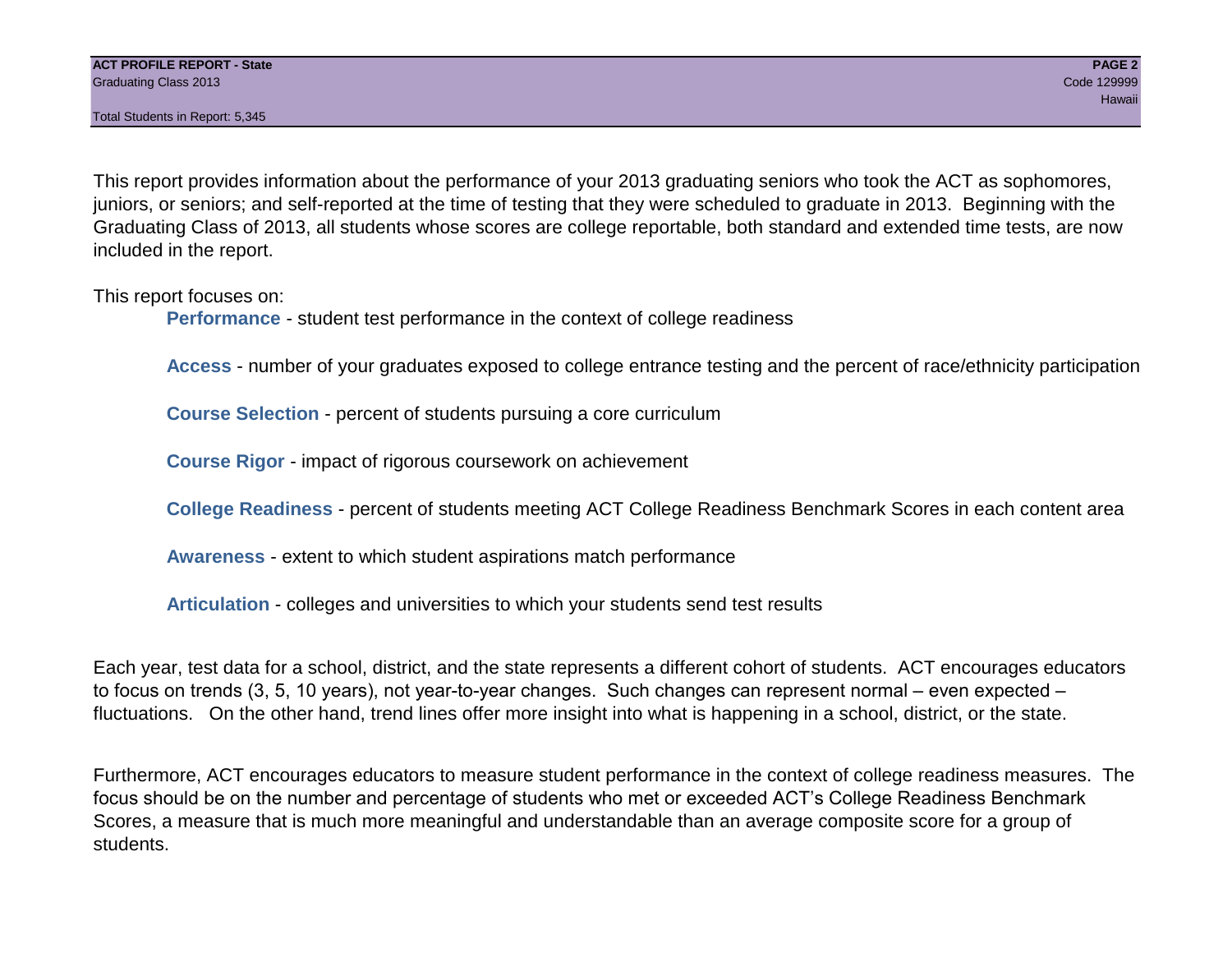Total Students in Report: 5,345

This report provides information about the performance of your 2013 graduating seniors who took the ACT as sophomores, juniors, or seniors; and self-reported at the time of testing that they were scheduled to graduate in 2013. Beginning with the Graduating Class of 2013, all students whose scores are college reportable, both standard and extended time tests, are now included in the report.

This report focuses on:

**Performance** - student test performance in the context of college readiness

**Access** - number of your graduates exposed to college entrance testing and the percent of race/ethnicity participation

**Course Selection** - percent of students pursuing a core curriculum

**Course Rigor** - impact of rigorous coursework on achievement

**College Readiness** - percent of students meeting ACT College Readiness Benchmark Scores in each content area

**Awareness** - extent to which student aspirations match performance

**Articulation** - colleges and universities to which your students send test results

Each year, test data for a school, district, and the state represents a different cohort of students. ACT encourages educators to focus on trends (3, 5, 10 years), not year-to-year changes. Such changes can represent normal – even expected – fluctuations. On the other hand, trend lines offer more insight into what is happening in a school, district, or the state.

Furthermore, ACT encourages educators to measure student performance in the context of college readiness measures. The focus should be on the number and percentage of students who met or exceeded ACT's College Readiness Benchmark Scores, a measure that is much more meaningful and understandable than an average composite score for a group of students.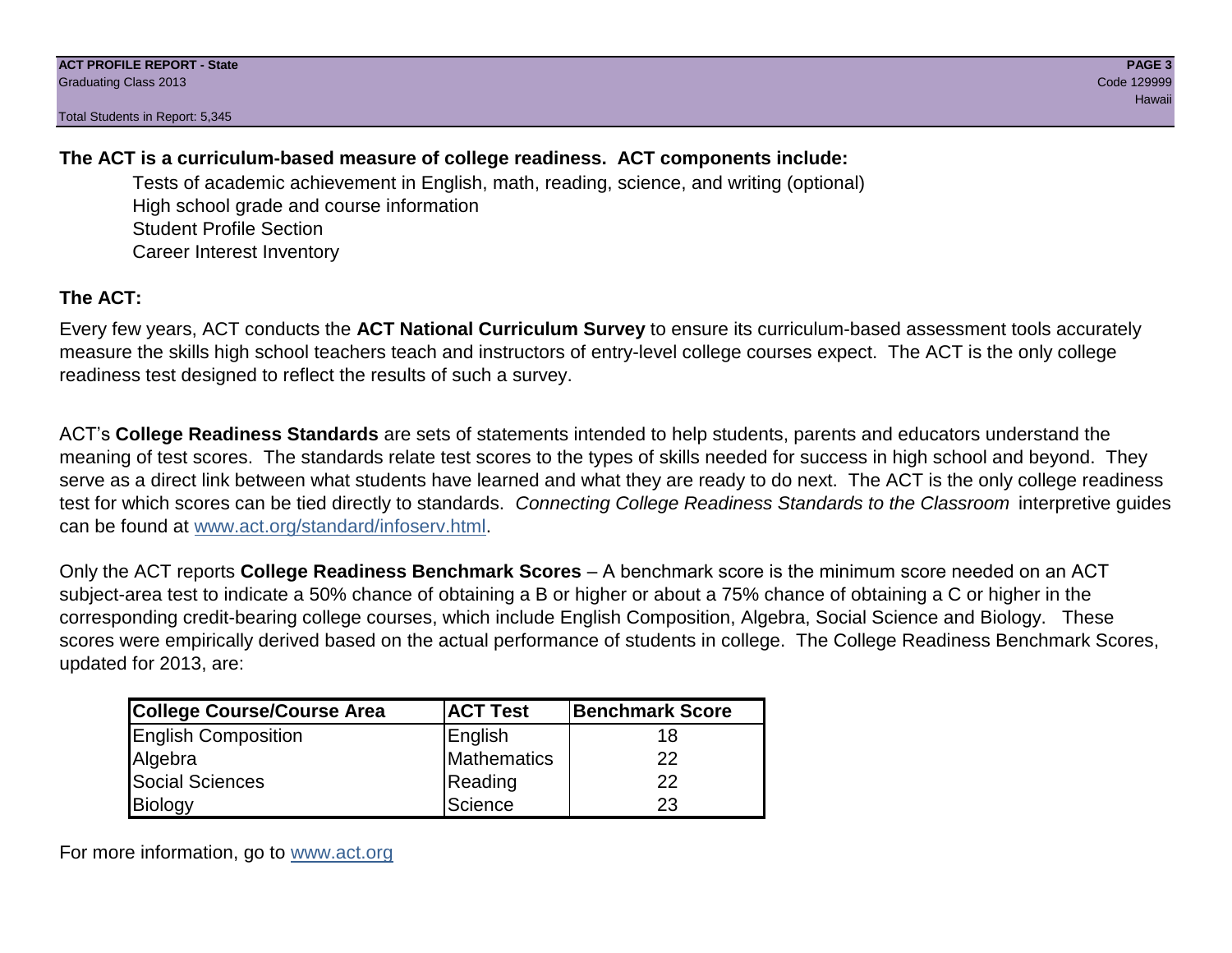Total Students in Report: 5,345

# **The ACT is a curriculum-based measure of college readiness. ACT components include:**

Tests of academic achievement in English, math, reading, science, and writing (optional) High school grade and course information Student Profile Section Career Interest Inventory

# **The ACT:**

Every few years, ACT conducts the **ACT National Curriculum Survey** to ensure its curriculum-based assessment tools accurately measure the skills high school teachers teach and instructors of entry-level college courses expect. The ACT is the only college readiness test designed to reflect the results of such a survey.

ACT's **College Readiness Standards** are sets of statements intended to help students, parents and educators understand the meaning of test scores. The standards relate test scores to the types of skills needed for success in high school and beyond. They serve as a direct link between what students have learned and what they are ready to do next. The ACT is the only college readiness test for which scores can be tied directly to standards. *Connecting College Readiness Standards to the Classroom* interpretive guides can be found at www.act.org/standard/infoserv.html.

Only the ACT reports **College Readiness Benchmark Scores** – A benchmark score is the minimum score needed on an ACT subject-area test to indicate a 50% chance of obtaining a B or higher or about a 75% chance of obtaining a C or higher in the corresponding credit-bearing college courses, which include English Composition, Algebra, Social Science and Biology. These scores were empirically derived based on the actual performance of students in college. The College Readiness Benchmark Scores, updated for 2013, are:

| College Course/Course Area | <b>ACT Test</b> | <b>Benchmark Score</b> |
|----------------------------|-----------------|------------------------|
| <b>English Composition</b> | English         | 18                     |
| Algebra                    | Mathematics     | 22                     |
| <b>Social Sciences</b>     | Reading         | 22                     |
| Biology                    | Science         | 23                     |

For more information, go to www.act.org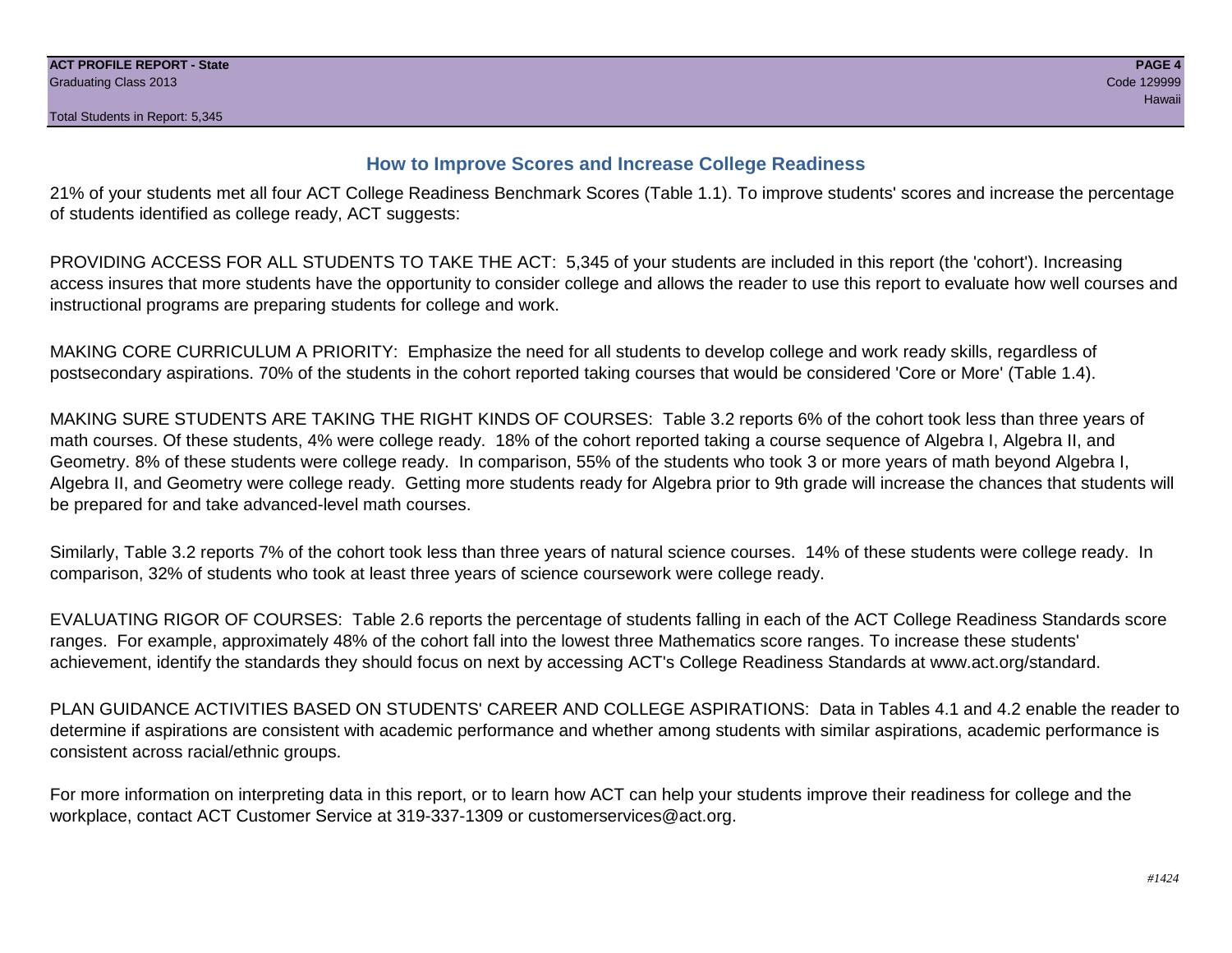# **How to Improve Scores and Increase College Readiness**

21% of your students met all four ACT College Readiness Benchmark Scores (Table 1.1). To improve students' scores and increase the percentage of students identified as college ready, ACT suggests:

PROVIDING ACCESS FOR ALL STUDENTS TO TAKE THE ACT: 5,345 of your students are included in this report (the 'cohort'). Increasing access insures that more students have the opportunity to consider college and allows the reader to use this report to evaluate how well courses and instructional programs are preparing students for college and work.

MAKING CORE CURRICULUM A PRIORITY: Emphasize the need for all students to develop college and work ready skills, regardless of postsecondary aspirations. 70% of the students in the cohort reported taking courses that would be considered 'Core or More' (Table 1.4).

MAKING SURE STUDENTS ARE TAKING THE RIGHT KINDS OF COURSES: Table 3.2 reports 6% of the cohort took less than three years of math courses. Of these students, 4% were college ready. 18% of the cohort reported taking a course sequence of Algebra I, Algebra II, and Geometry. 8% of these students were college ready. In comparison, 55% of the students who took 3 or more years of math beyond Algebra I, Algebra II, and Geometry were college ready. Getting more students ready for Algebra prior to 9th grade will increase the chances that students will be prepared for and take advanced-level math courses.

Similarly, Table 3.2 reports 7% of the cohort took less than three years of natural science courses. 14% of these students were college ready. In comparison, 32% of students who took at least three years of science coursework were college ready.

EVALUATING RIGOR OF COURSES: Table 2.6 reports the percentage of students falling in each of the ACT College Readiness Standards score ranges. For example, approximately 48% of the cohort fall into the lowest three Mathematics score ranges. To increase these students' achievement, identify the standards they should focus on next by accessing ACT's College Readiness Standards at www.act.org/standard.

PLAN GUIDANCE ACTIVITIES BASED ON STUDENTS' CAREER AND COLLEGE ASPIRATIONS: Data in Tables 4.1 and 4.2 enable the reader to determine if aspirations are consistent with academic performance and whether among students with similar aspirations, academic performance is consistent across racial/ethnic groups.

For more information on interpreting data in this report, or to learn how ACT can help your students improve their readiness for college and the workplace, contact ACT Customer Service at 319-337-1309 or customerservices@act.org.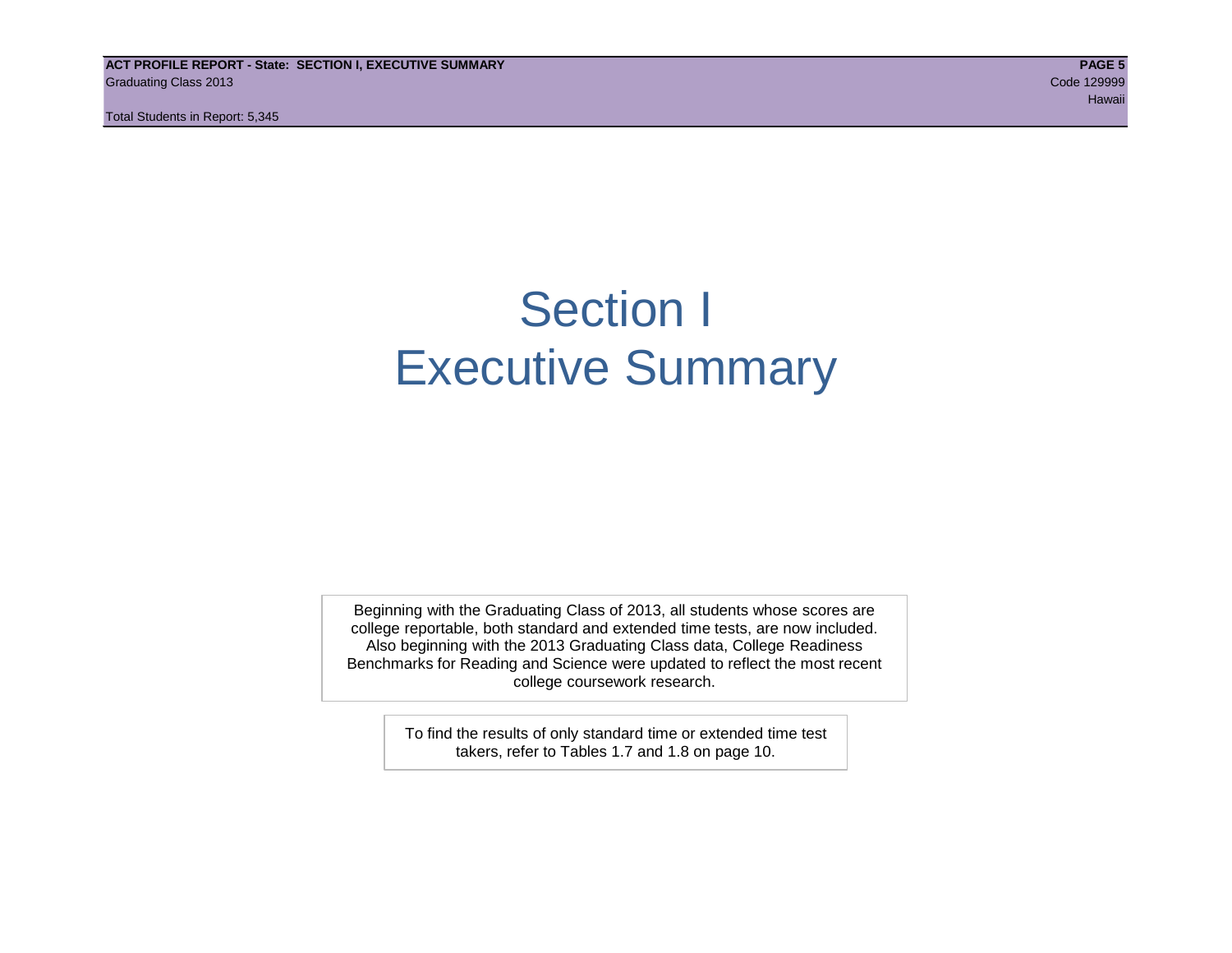**ACT PROFILE REPORT - State: SECTION I, EXECUTIVE SUMMARY PAGE 5** Graduating Class 2013 Code 129999

Total Students in Report: 5,345

# Section I Executive Summary

Beginning with the Graduating Class of 2013, all students whose scores are college reportable, both standard and extended time tests, are now included. Also beginning with the 2013 Graduating Class data, College Readiness Benchmarks for Reading and Science were updated to reflect the most recent college coursework research.

> To find the results of only standard time or extended time test takers, refer to Tables 1.7 and 1.8 on page 10.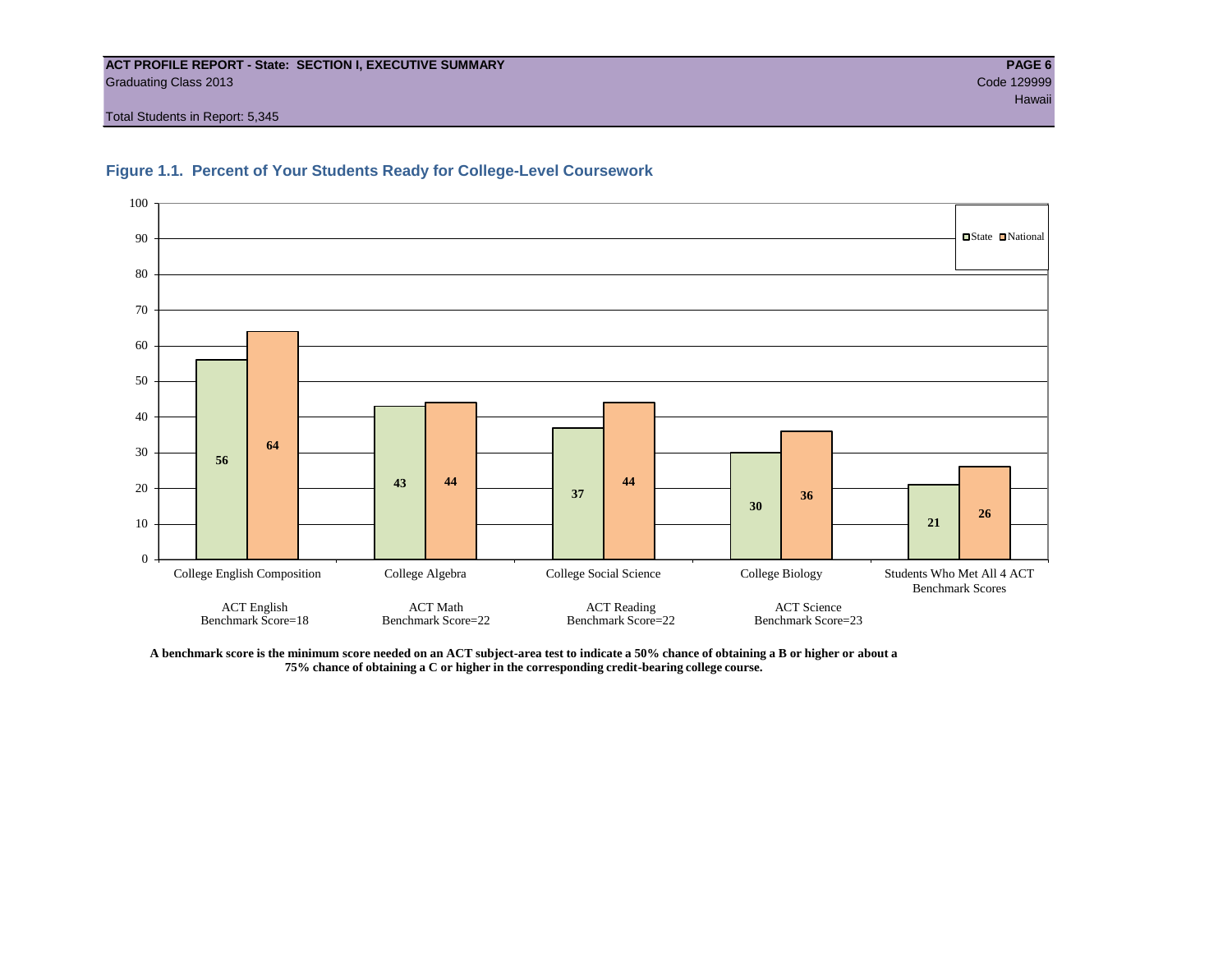#### **ACT PROFILE REPORT - State: SECTION I, EXECUTIVE SUMMARY PAGE 6** Graduating Class 2013 Code 129999

Total Students in Report: 5,345





**A benchmark score is the minimum score needed on an ACT subject-area test to indicate a 50% chance of obtaining a B or higher or about a 75% chance of obtaining a C or higher in the corresponding credit-bearing college course.**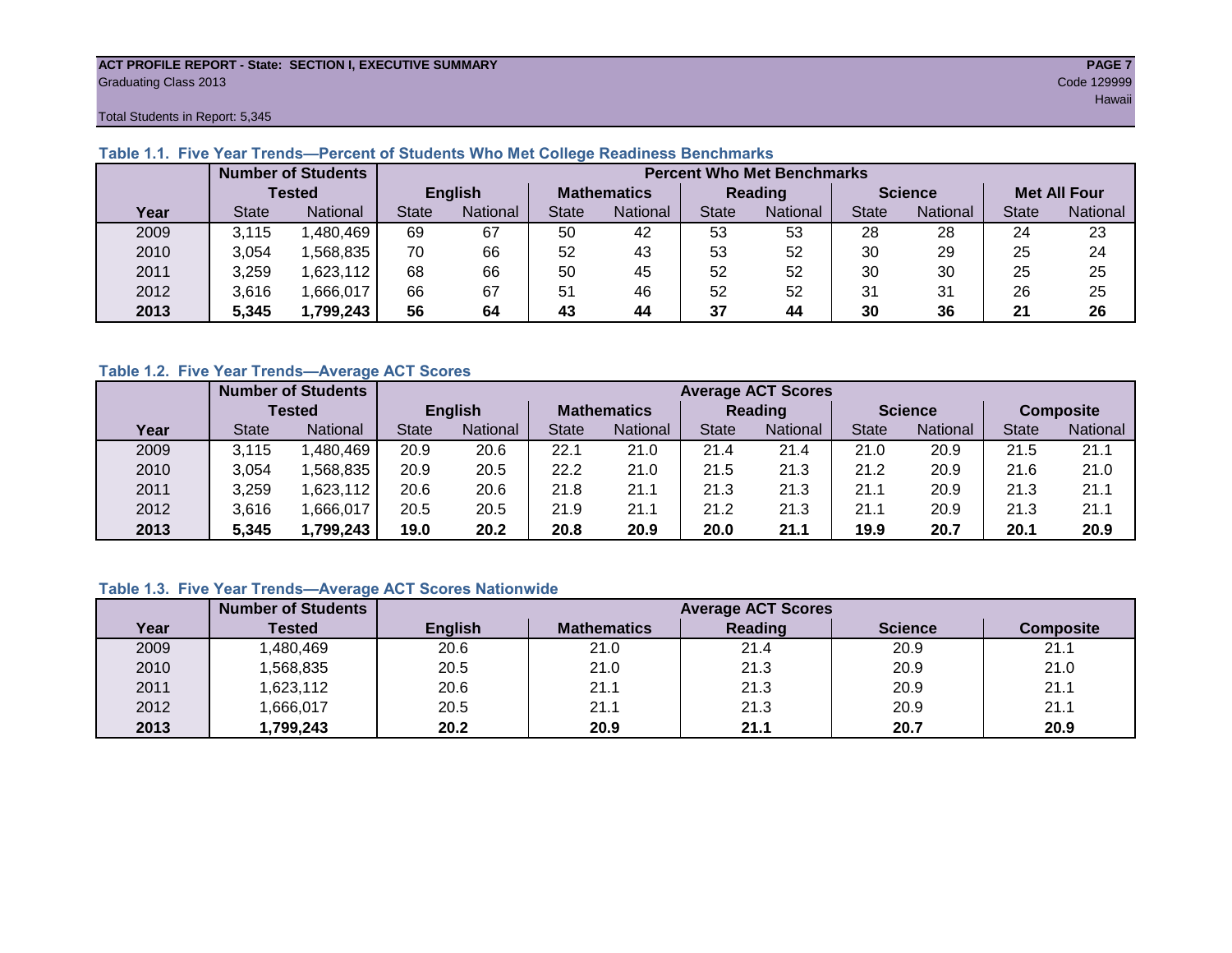#### **ACT PROFILE REPORT - State: SECTION I, EXECUTIVE SUMMARY PAGE 7** Graduating Class 2013 Code 129999

Total Students in Report: 5,345

|      |              | <b>Number of Students</b> |              |                | <b>Percent Who Met Benchmarks</b> |                 |              |          |                |          |                     |          |  |  |
|------|--------------|---------------------------|--------------|----------------|-----------------------------------|-----------------|--------------|----------|----------------|----------|---------------------|----------|--|--|
|      |              | <b>Tested</b>             |              | <b>English</b> | <b>Mathematics</b>                |                 | Reading      |          | <b>Science</b> |          | <b>Met All Four</b> |          |  |  |
| Year | <b>State</b> | <b>National</b>           | <b>State</b> | National       | State                             | <b>National</b> | <b>State</b> | National | <b>State</b>   | National | <b>State</b>        | National |  |  |
| 2009 | 3,115        | ,480,469                  | 69           | 67             | 50                                | 42              | 53           | 53       | 28             | 28       | 24                  | 23       |  |  |
| 2010 | 3,054        | .568.835                  | 70           | 66             | 52                                | 43              | 53           | 52       | 30             | 29       | 25                  | 24       |  |  |
| 2011 | 3,259        | 623,112                   | 68           | 66             | 50                                | 45              | 52           | 52       | 30             | 30       | 25                  | 25       |  |  |
| 2012 | 3,616        | ,666,017                  | 66           | 67             | 51                                | 46              | 52           | 52       | 31             | 31       | 26                  | 25       |  |  |
| 2013 | 5,345        | 1,799,243                 | 56           | 64             | 43                                | 44              | 37           | 44       | 30             | 36       | 21                  | 26       |  |  |

# **Table 1.1. Five Year Trends—Percent of Students Who Met College Readiness Benchmarks**

# **Table 1.2. Five Year Trends—Average ACT Scores**

|      |              | <b>Number of Students</b> |              |                | <b>Average ACT Scores</b> |                 |                |          |                |          |                  |          |  |  |
|------|--------------|---------------------------|--------------|----------------|---------------------------|-----------------|----------------|----------|----------------|----------|------------------|----------|--|--|
|      |              | <b>Tested</b>             |              | <b>English</b> | <b>Mathematics</b>        |                 | <b>Reading</b> |          | <b>Science</b> |          | <b>Composite</b> |          |  |  |
| Year | <b>State</b> | <b>National</b>           | <b>State</b> | National       | State                     | <b>National</b> | <b>State</b>   | National | <b>State</b>   | National | <b>State</b>     | National |  |  |
| 2009 | 3.115        | .480,469                  | 20.9         | 20.6           | 22.1                      | 21.0            | 21.4           | 21.4     | 21.0           | 20.9     | 21.5             | 21.1     |  |  |
| 2010 | 3,054        | .568.835                  | 20.9         | 20.5           | 22.2                      | 21.0            | 21.5           | 21.3     | 21.2           | 20.9     | 21.6             | 21.0     |  |  |
| 2011 | 3,259        | .623,112                  | 20.6         | 20.6           | 21.8                      | 21.1            | 21.3           | 21.3     | 21.1           | 20.9     | 21.3             | 21.1     |  |  |
| 2012 | 3,616        | .666,017                  | 20.5         | 20.5           | 21.9                      | 21.1            | 21.2           | 21.3     | 21.1           | 20.9     | 21.3             | 21.1     |  |  |
| 2013 | 5,345        | ,799,243                  | 19.0         | 20.2           | 20.8                      | 20.9            | 20.0           | 21.1     | 19.9           | 20.7     | 20.1             | 20.9     |  |  |

# **Table 1.3. Five Year Trends—Average ACT Scores Nationwide**

|      | <b>Number of Students</b> |                |                    | <b>Average ACT Scores</b> |                |                  |
|------|---------------------------|----------------|--------------------|---------------------------|----------------|------------------|
| Year | Tested                    | <b>English</b> | <b>Mathematics</b> | Reading                   | <b>Science</b> | <b>Composite</b> |
| 2009 | ,480,469                  | 20.6           | 21.0               | 21.4                      | 20.9           | 21.1             |
| 2010 | ,568,835                  | 20.5           | 21.0               | 21.3                      | 20.9           | 21.0             |
| 2011 | ,623,112                  | 20.6           | 21.1               | 21.3                      | 20.9           | 21.1             |
| 2012 | ,666,017                  | 20.5           | 21.1               | 21.3                      | 20.9           | 21.1             |
| 2013 | ,799,243                  | 20.2           | 20.9               | 21.1                      | 20.7           | 20.9             |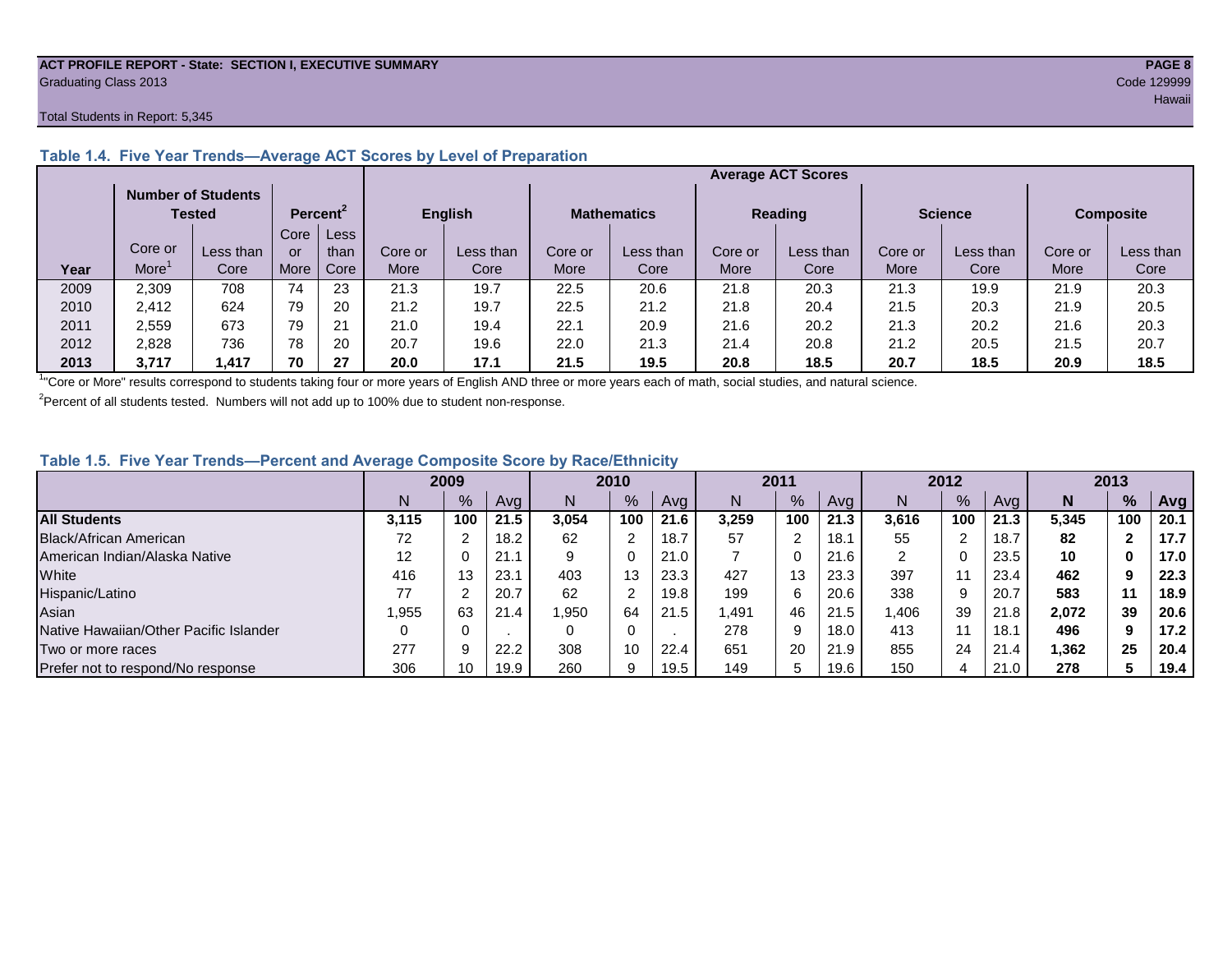#### **ACT PROFILE REPORT - State: SECTION I, EXECUTIVE SUMMARY PAGE 8** Graduating Class 2013 Code 129999

#### Total Students in Report: 5,345

|      |         | <b>Number of Students</b><br>Tested |      | Percent <sup>2</sup> |             | <b>English</b> | <b>Mathematics</b> |           | <b>Reading</b> |           | <b>Science</b> |           | <b>Composite</b> |           |
|------|---------|-------------------------------------|------|----------------------|-------------|----------------|--------------------|-----------|----------------|-----------|----------------|-----------|------------------|-----------|
|      |         |                                     | Core | Less                 |             |                |                    |           |                |           |                |           |                  |           |
|      | Core or | Less than                           | or   | than                 | Core or     | Less than      | Core or            | Less than | Core or        | Less than | Core or        | Less than | Core or          | Less than |
| Year | More    | Core                                | More | Core                 | <b>More</b> | Core           | More               | Core      | More           | Core      | More           | Core      | More             | Core      |
| 2009 | 2,309   | 708                                 | 74   | 23                   | 21.3        | 19.7           | 22.5               | 20.6      | 21.8           | 20.3      | 21.3           | 19.9      | 21.9             | 20.3      |
| 2010 | 2,412   | 624                                 | 79   | 20                   | 21.2        | 19.7           | 22.5               | 21.2      | 21.8           | 20.4      | 21.5           | 20.3      | 21.9             | 20.5      |
| 2011 | 2,559   | 673                                 | 79   | 21                   | 21.0        | 19.4           | 22.1               | 20.9      | 21.6           | 20.2      | 21.3           | 20.2      | 21.6             | 20.3      |
| 2012 | 2,828   | 736                                 | 78   | 20                   | 20.7        | 19.6           | 22.0               | 21.3      | 21.4           | 20.8      | 21.2           | 20.5      | 21.5             | 20.7      |
| 2013 | 3.717   | ,417                                | 70   | 27                   | 20.0        | 17.1           | 21.5               | 19.5      | 20.8           | 18.5      | 20.7           | 18.5      | 20.9             | 18.5      |

# **Table 1.4. Five Year Trends—Average ACT Scores by Level of Preparation**

<sup>1</sup>"Core or More" results correspond to students taking four or more years of English AND three or more years each of math, social studies, and natural science.

 $2$ Percent of all students tested. Numbers will not add up to 100% due to student non-response.

# **Table 1.5. Five Year Trends—Percent and Average Composite Score by Race/Ethnicity**

|                                        | 2009  |      |      | 2010  |               | 2011 |       |     | 2012 |       |     | 2013 |        |     |      |
|----------------------------------------|-------|------|------|-------|---------------|------|-------|-----|------|-------|-----|------|--------|-----|------|
|                                        | N     | $\%$ | Avg  | N     | $\frac{9}{6}$ | Avg  | N     | %   | Avg  | Ν     | %   | Ava  | N      | %   | Avg  |
| <b>All Students</b>                    | 3.115 | 100  | 21.5 | 3.054 | 100           | 21.6 | 3,259 | 100 | 21.3 | 3,616 | 100 | 21.3 | 5.345  | 100 | 20.1 |
| Black/African American                 | 72    |      | 18.2 | 62    | 2             | 18.7 | 57    | ົ   | 18.1 | 55    | ⌒   | 18.7 | 82     |     | 17.7 |
| American Indian/Alaska Native          | 12    |      | 21.1 | 9     | 0             | 21.0 |       | 0   | 21.6 | ົ     |     | 23.5 | 10     | 0   | 17.0 |
| White                                  | 416   | 13   | 23.1 | 403   | 13            | 23.3 | 427   | 13  | 23.3 | 397   |     | 23.4 | 462    | 9   | 22.3 |
| Hispanic/Latino                        | 77    |      | 20.7 | 62    | 2             | 19.8 | 199   | 6   | 20.6 | 338   | 9   | 20.7 | 583    | 11  | 18.9 |
| Asian                                  | ,955  | 63   | 21.4 | .950  | 64            | 21.5 | 1,491 | 46  | 21.5 | ,406  | 39  | 21.8 | 2,072  | 39  | 20.6 |
| Native Hawaiian/Other Pacific Islander |       |      |      | 0     | 0             |      | 278   | 9   | 18.0 | 413   |     | 18.1 | 496    | 9   | 17.2 |
| Two or more races                      | 277   |      | 22.2 | 308   | 10            | 22.4 | 651   | 20  | 21.9 | 855   | 24  | 21.4 | 362, ا | 25  | 20.4 |
| Prefer not to respond/No response      | 306   | 10   | 19.9 | 260   | 9             | 19.5 | 149   | 5   | 19.6 | 150   | 4   | 21.0 | 278    |     | 19.4 |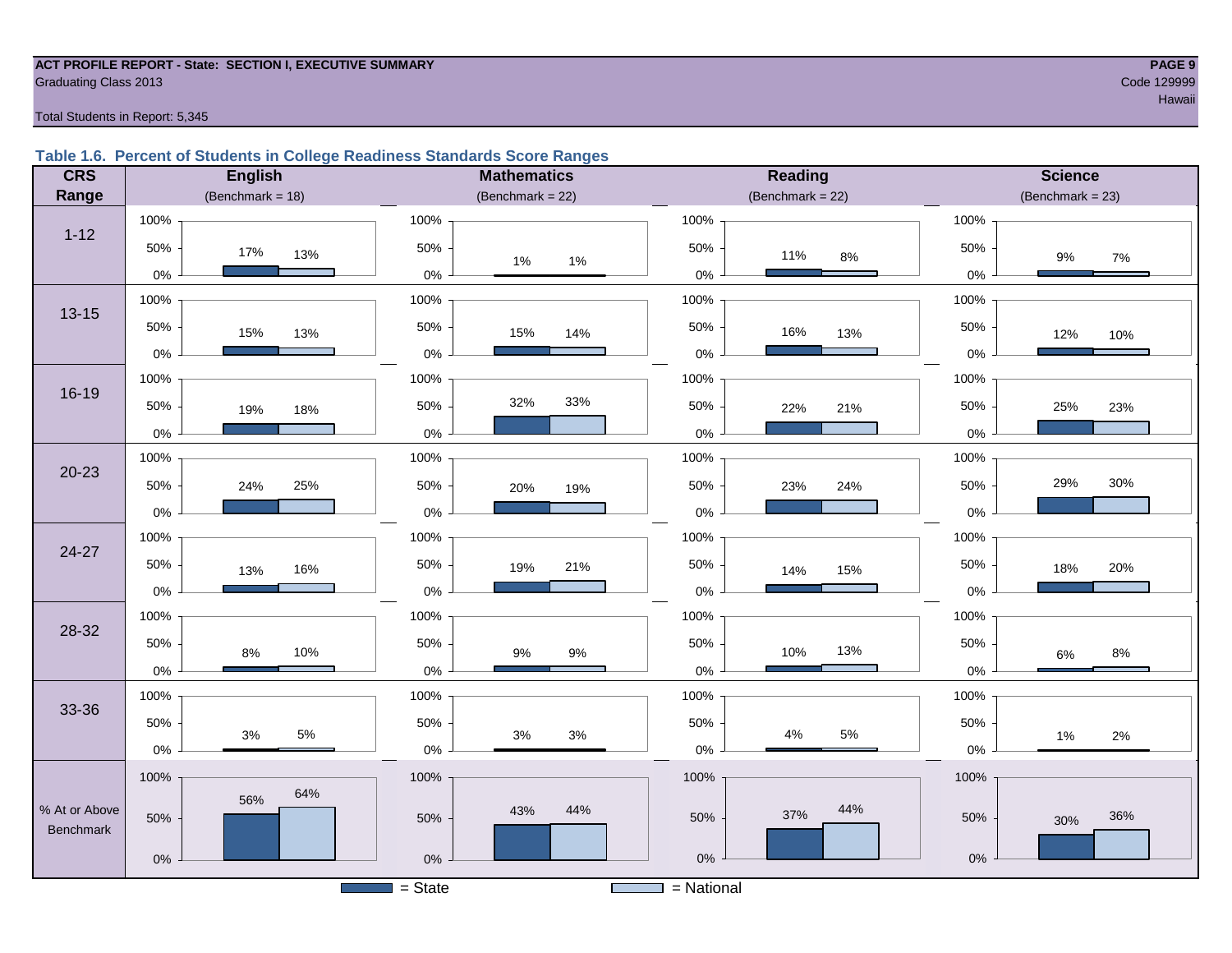#### **ACT PROFILE REPORT - State: SECTION I, EXECUTIVE SUMMARY PAGE 9 Graduating Class 2013** Code 129999

### Total Students in Report: 5,345

# **Table 1.6. Percent of Students in College Readiness Standards Score Ranges**

| <b>CRS</b>    | <b>English</b>      | <b>Mathematics</b>                    | <b>Reading</b>      | <b>Science</b>        |
|---------------|---------------------|---------------------------------------|---------------------|-----------------------|
| Range         | (Benchmark = $18$ ) | (Benchmark = $22$ )                   | (Benchmark = $22$ ) | $(Benchmark = 23)$    |
|               | 100%                | 100%                                  | 100%                | 100%                  |
| $1 - 12$      | 50%<br>17%<br>13%   | 50%<br>$1\%$<br>$1\%$                 | 50%<br>11%<br>8%    | 50%<br>$9\%$<br>$7\%$ |
|               | $0\%$               | $0\%$                                 | $0\%$               | 0%                    |
| $13 - 15$     | 100%                | 100%                                  | 100%                | 100%                  |
|               | 50%<br>15%<br>13%   | 50%<br>15%<br>14%                     | 50%<br>16%<br>13%   | 50%<br>12%<br>10%     |
|               | $0\%$               | 0%                                    | $0\%$               | $0\%$                 |
|               | 100%                | 100%                                  | 100%                | 100%                  |
| $16 - 19$     | 50%<br>19%<br>18%   | 32%<br>33%<br>50%                     | 50%<br>22%<br>21%   | 25%<br>50%<br>23%     |
|               | $0\%$               | 0%                                    | $0\%$               | $0\%$                 |
|               | 100%                | 100%                                  | 100%                | 100%                  |
| $20 - 23$     | 50%<br>24%<br>25%   | 50%<br>20%<br>19%                     | 50%<br>24%<br>23%   | 29%<br>30%<br>50%     |
|               | $0\%$               | 0%                                    | $0\%$               | $0\%$                 |
|               | 100%                | 100%                                  | 100%                | 100%                  |
| 24-27         | 50%<br>16%<br>13%   | 50%<br>21%<br>19%                     | 50%<br>14%<br>15%   | 50%<br>20%<br>18%     |
|               | $0\%$               | 0%                                    | $0\%$               | 0%                    |
|               | 100%                | 100%                                  | 100%                | 100%                  |
| 28-32         | 50%<br>10%<br>8%    | 50%<br>$9%$<br>$9\%$                  | 50%<br>13%<br>10%   | 50%<br>$8\%$<br>6%    |
|               | $0\%$               | 0%                                    | $0\%$               | $0\%$                 |
|               | 100%                | 100%                                  | 100%                | 100%                  |
| 33-36         | 50%                 | 50%                                   | 50%                 | 50%                   |
|               | 5%<br>3%<br>$0\%$   | $3%$<br>$3%$<br>0%                    | 5%<br>4%<br>$0\%$   | 1%<br>2%<br>$0\%$     |
|               | 100%                | 100%                                  | 100%                | 100%                  |
| % At or Above | 64%<br>56%          | 44%<br>43%                            | 44%                 |                       |
| Benchmark     | 50%                 | 50%                                   | 37%<br>50%          | 36%<br>50%<br>30%     |
|               | $0\%$               | 0%                                    | $0\%$               | $0\%$                 |
|               |                     | $=$ State<br><b>Contract Contract</b> | $=$ National        |                       |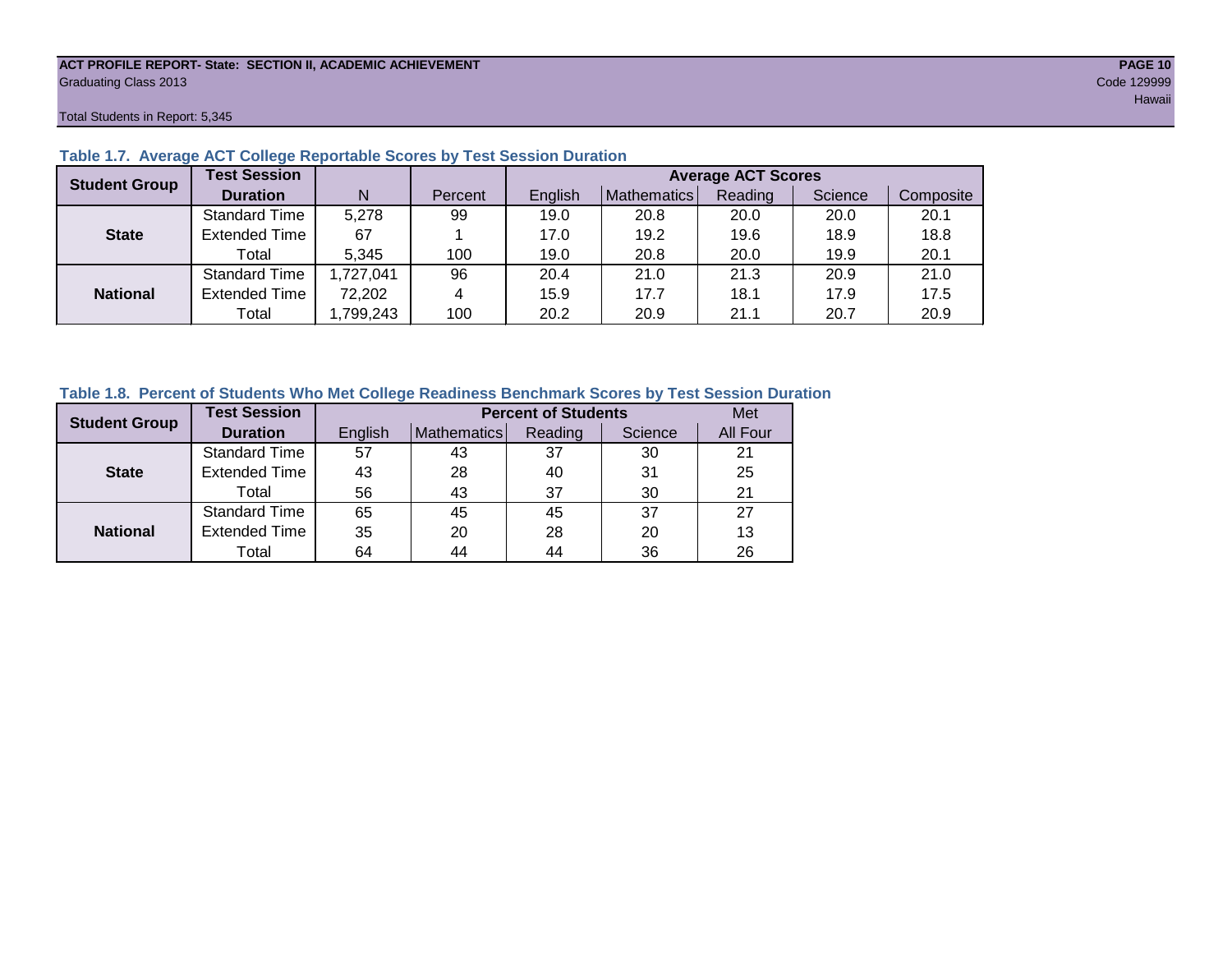#### **ACT PROFILE REPORT- State: SECTION II, ACADEMIC ACHIEVEMENT PAGE 10** Graduating Class 2013 Code 129999

Total Students in Report: 5,345

| <b>Student Group</b> | <b>Test Session</b>  |          |         | <b>Average ACT Scores</b> |             |         |         |           |  |  |  |  |  |
|----------------------|----------------------|----------|---------|---------------------------|-------------|---------|---------|-----------|--|--|--|--|--|
|                      | <b>Duration</b>      | N        | Percent | English                   | Mathematics | Reading | Science | Composite |  |  |  |  |  |
|                      | <b>Standard Time</b> | 5,278    | 99      | 19.0                      | 20.8        | 20.0    | 20.0    | 20.1      |  |  |  |  |  |
| <b>State</b>         | <b>Extended Time</b> | 67       |         | 17.0                      | 19.2        | 19.6    | 18.9    | 18.8      |  |  |  |  |  |
|                      | Total                | 5.345    | 100     | 19.0                      | 20.8        | 20.0    | 19.9    | 20.1      |  |  |  |  |  |
|                      | <b>Standard Time</b> | ,727,041 | 96      | 20.4                      | 21.0        | 21.3    | 20.9    | 21.0      |  |  |  |  |  |
| <b>National</b>      | <b>Extended Time</b> | 72,202   | 4       | 15.9                      | 17.7        | 18.1    | 17.9    | 17.5      |  |  |  |  |  |
|                      | Total                | ,799,243 | 100     | 20.2                      | 20.9        | 21.1    | 20.7    | 20.9      |  |  |  |  |  |

# **Table 1.7. Average ACT College Reportable Scores by Test Session Duration**

# **Table 1.8. Percent of Students Who Met College Readiness Benchmark Scores by Test Session Duration**

| <b>Student Group</b> | <b>Test Session</b>  |         |             | <b>Percent of Students</b> |         | Met      |
|----------------------|----------------------|---------|-------------|----------------------------|---------|----------|
|                      | <b>Duration</b>      | English | Mathematics | Reading                    | Science | All Four |
|                      | <b>Standard Time</b> | 57      | 43          | 37                         | 30      | 21       |
| <b>State</b>         | <b>Extended Time</b> | 43      | 28          | 40                         | 31      | 25       |
|                      | Total                | 56      | 43          | 37                         | 30      | 21       |
|                      | <b>Standard Time</b> | 65      | 45          | 45                         | 37      | 27       |
| <b>National</b>      | <b>Extended Time</b> | 35      | 20          | 28                         | 20      | 13       |
|                      | Total                | 64      | 44          | 44                         | 36      | 26       |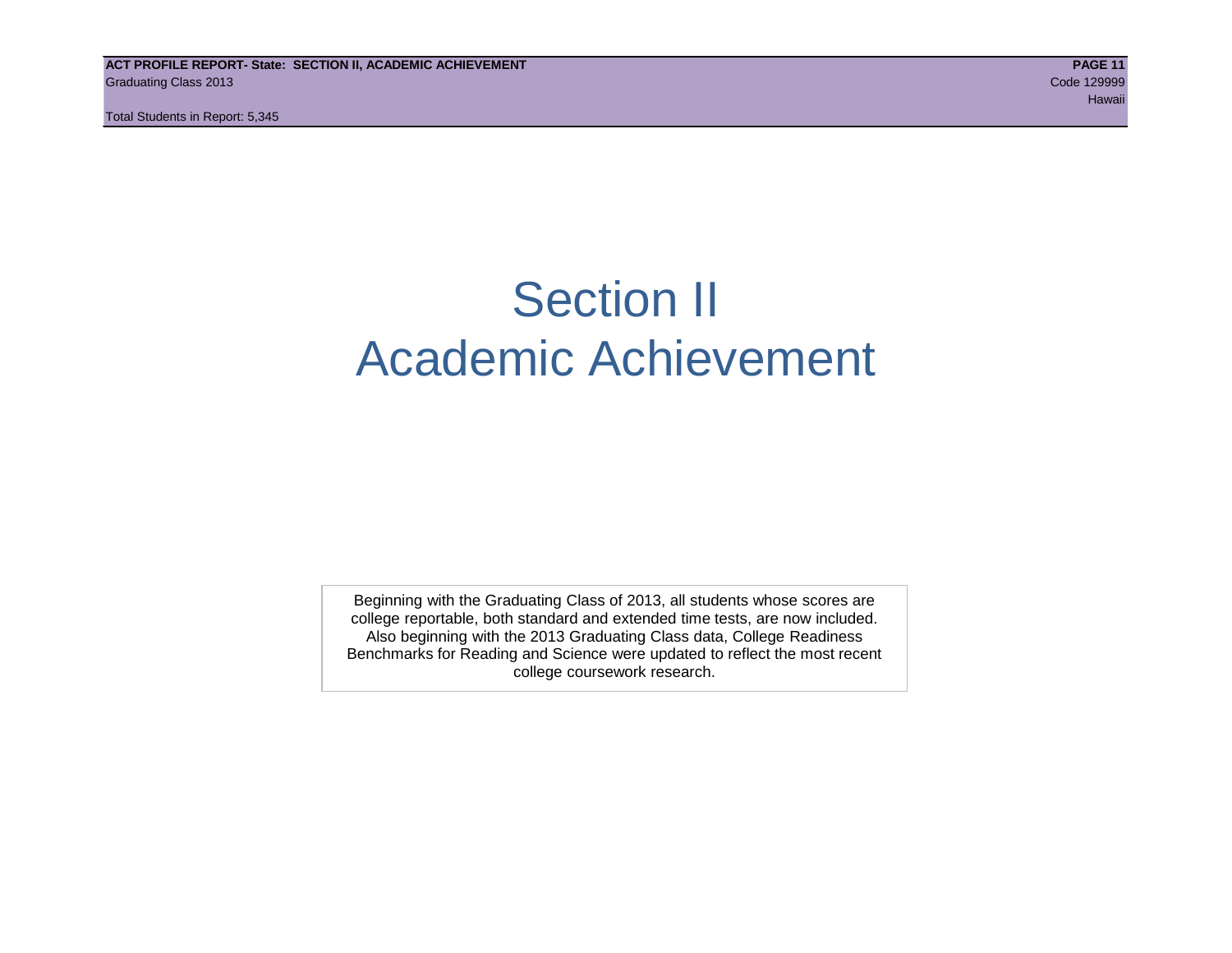Total Students in Report: 5,345

# Section II Academic Achievement

Beginning with the Graduating Class of 2013, all students whose scores are college reportable, both standard and extended time tests, are now included. Also beginning with the 2013 Graduating Class data, College Readiness Benchmarks for Reading and Science were updated to reflect the most recent college coursework research.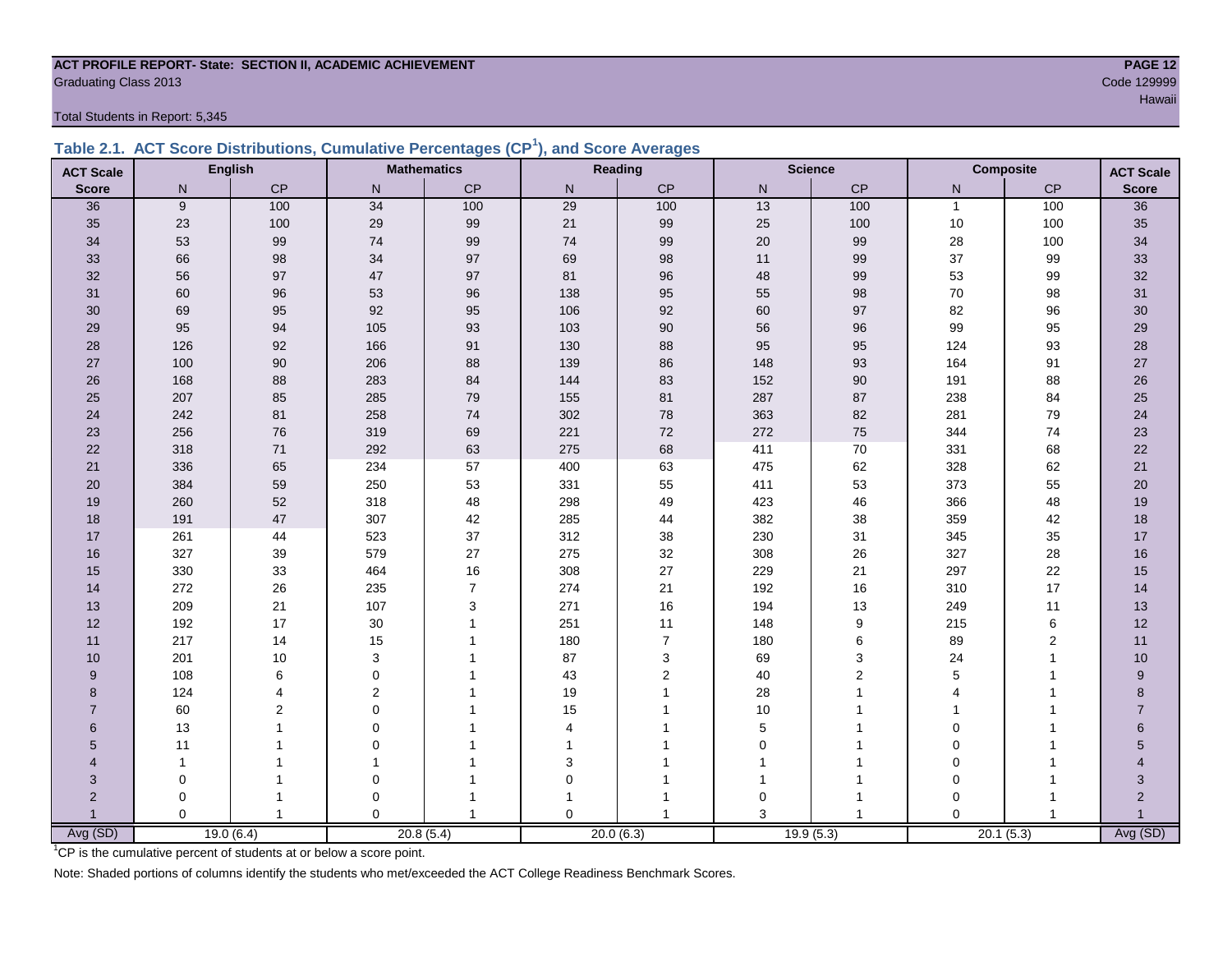#### **ACT PROFILE REPORT- State: SECTION II, ACADEMIC ACHIEVEMENT PAGE 12** er Code 129999 Code 129999 Code 129999 Code 129999 Code 129999 Code 129999 Code 129999 Code 129999 Code 129999 Code 129999 Code 129999 Code 129999 Code 129999 Code 129999 Code 129999 Code 129999 Code 129999 Code 129999 Cod

Total Students in Report: 5,345

|  | Table 2.1. ACT Score Distributions, Cumulative Percentages (CP <sup>1</sup> ), and Score Averages |  |  |  |
|--|---------------------------------------------------------------------------------------------------|--|--|--|
|  |                                                                                                   |  |  |  |

| <b>ACT Scale</b> |             | <b>English</b> |                | <b>Mathematics</b> |                         | Reading        |             | <b>Science</b>   |              | <b>Composite</b><br><b>ACT Scale</b> |                 |
|------------------|-------------|----------------|----------------|--------------------|-------------------------|----------------|-------------|------------------|--------------|--------------------------------------|-----------------|
| <b>Score</b>     | N           | $\mathsf{CP}$  | $\mathsf{N}$   | CP                 | ${\sf N}$               | $\mathsf{CP}$  | ${\sf N}$   | CP               | N            | $\mathsf{CP}$                        | <b>Score</b>    |
| 36               | 9           | 100            | 34             | 100                | $\overline{29}$         | 100            | 13          | 100              | $\mathbf{1}$ | 100                                  | $\overline{36}$ |
| 35               | 23          | 100            | 29             | 99                 | 21                      | 99             | 25          | 100              | $10$         | 100                                  | 35              |
| 34               | 53          | 99             | 74             | 99                 | 74                      | 99             | 20          | 99               | 28           | 100                                  | 34              |
| 33               | 66          | 98             | 34             | 97                 | 69                      | 98             | 11          | 99               | 37           | 99                                   | 33              |
| 32               | 56          | 97             | 47             | $97\,$             | 81                      | 96             | 48          | 99               | 53           | 99                                   | 32              |
| 31               | 60          | 96             | 53             | 96                 | 138                     | 95             | 55          | 98               | $70\,$       | 98                                   | 31              |
| 30               | 69          | 95             | 92             | 95                 | 106                     | 92             | 60          | 97               | 82           | 96                                   | 30              |
| 29               | 95          | 94             | 105            | 93                 | 103                     | 90             | 56          | 96               | 99           | 95                                   | 29              |
| 28               | 126         | 92             | 166            | 91                 | 130                     | 88             | 95          | 95               | 124          | 93                                   | 28              |
| 27               | 100         | $90\,$         | 206            | 88                 | 139                     | 86             | 148         | 93               | 164          | 91                                   | $27\,$          |
| 26               | 168         | 88             | 283            | 84                 | 144                     | 83             | 152         | 90               | 191          | 88                                   | 26              |
| 25               | 207         | 85             | 285            | 79                 | 155                     | 81             | 287         | 87               | 238          | 84                                   | 25              |
| 24               | 242         | 81             | 258            | 74                 | 302                     | 78             | 363         | 82               | 281          | 79                                   | 24              |
| 23               | 256         | 76             | 319            | 69                 | 221                     | 72             | 272         | 75               | 344          | 74                                   | 23              |
| 22               | 318         | $71$           | 292            | 63                 | 275                     | 68             | 411         | $70\,$           | 331          | 68                                   | 22              |
| 21               | 336         | 65             | 234            | 57                 | 400                     | 63             | 475         | 62               | 328          | 62                                   | 21              |
| 20               | 384         | 59             | 250            | 53                 | 331                     | 55             | 411         | 53               | 373          | 55                                   | $20\,$          |
| 19               | 260         | 52             | 318            | 48                 | 298                     | 49             | 423         | 46               | 366          | 48                                   | 19              |
| 18               | 191         | 47             | 307            | 42                 | 285                     | 44             | 382         | 38               | 359          | 42                                   | 18              |
| 17               | 261         | 44             | 523            | 37                 | 312                     | 38             | 230         | 31               | 345          | 35                                   | 17              |
| 16               | 327         | 39             | 579            | 27                 | 275                     | 32             | 308         | 26               | 327          | 28                                   | 16              |
| 15               | 330         | 33             | 464            | $16\,$             | 308                     | 27             | 229         | 21               | 297          | 22                                   | 15              |
| 14               | 272         | 26             | 235            | $\overline{7}$     | 274                     | 21             | 192         | 16               | 310          | 17                                   | 14              |
| 13               | 209         | 21             | 107            | $\mathsf 3$        | 271                     | 16             | 194         | 13               | 249          | 11                                   | 13              |
| 12               | 192         | 17             | $30\,$         | $\overline{1}$     | 251                     | 11             | 148         | $\boldsymbol{9}$ | 215          | 6                                    | 12              |
| 11               | 217         | 14             | 15             |                    | 180                     | $\overline{7}$ | 180         | 6                | 89           | 2                                    | 11              |
| 10               | 201         | 10             | 3              |                    | 87                      | 3              | 69          | 3                | 24           | 1                                    | 10              |
| 9                | 108         | 6              | $\Omega$       |                    | 43                      | $\overline{2}$ | 40          | $\overline{2}$   | 5            |                                      | 9               |
| 8                | 124         | 4              | $\overline{2}$ |                    | 19                      |                | 28          |                  | 4            |                                      | 8               |
| $\overline{7}$   | 60          | 2              | $\mathbf 0$    |                    | 15                      |                | 10          |                  |              |                                      | $\overline{7}$  |
| $6\phantom{1}$   | 13          |                | $\Omega$       |                    | $\overline{\mathbf{4}}$ |                | 5           |                  | $\Omega$     |                                      | $6\phantom{.}$  |
| 5                | 11          |                | 0              |                    | 1                       |                | $\mathbf 0$ |                  | 0            |                                      | 5               |
| 4                | 1           |                | 1              |                    | 3                       |                |             |                  | $\Omega$     |                                      | 4               |
| 3                | $\mathbf 0$ |                | $\mathbf 0$    |                    | $\mathbf 0$             |                | 1           |                  | $\Omega$     |                                      | 3               |
| $\overline{2}$   | 0           |                | 0              |                    |                         |                | 0           | 1                | $\Omega$     |                                      | $\overline{2}$  |
|                  | $\Omega$    | $\mathbf{1}$   | $\Omega$       |                    | $\Omega$                |                | 3           |                  | $\Omega$     |                                      |                 |
| Avg (SD)         |             | 19.0(6.4)      |                | 20.8(5.4)          |                         | 20.0(6.3)      |             | 19.9(5.3)        |              | 20.1(5.3)                            | Avg (SD)        |

<sup>1</sup>CP is the cumulative percent of students at or below a score point.

Note: Shaded portions of columns identify the students who met/exceeded the ACT College Readiness Benchmark Scores.

Hawaii iyo kale katika maalaa ka maalaa lagu saaraa lagu saaraa lagu saaraa lagu saaraa lagu saaraa Hawaii iyo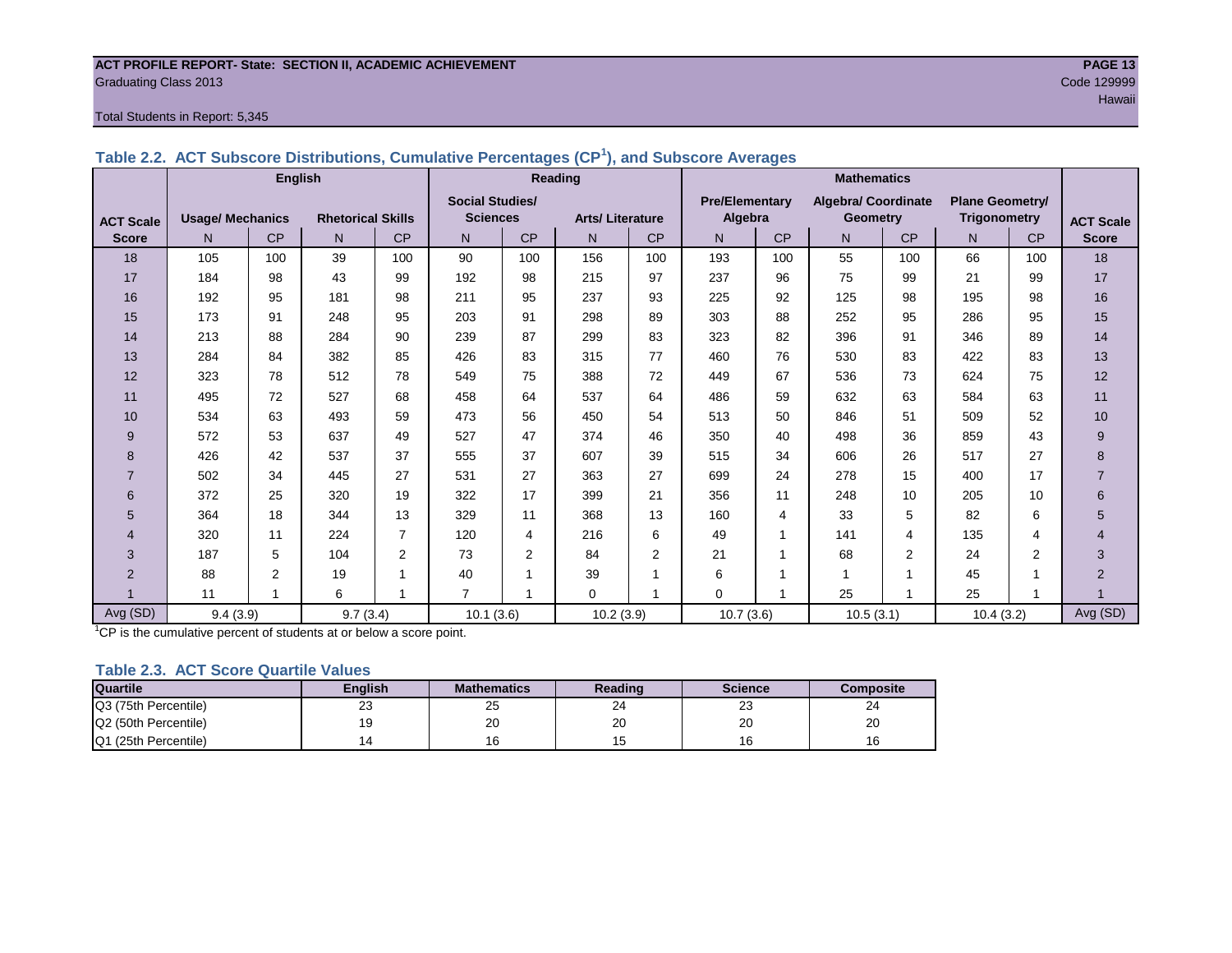#### **ACT PROFILE REPORT- State: SECTION II, ACADEMIC ACHIEVEMENT PAGE 13** Graduating Class 2013 Code 129999

#### Total Students in Report: 5,345

|                  |                         | <b>English</b> |                          |                |                        |           | Reading                |           | <b>Mathematics</b>    |           |                            |                |                        |                |                  |
|------------------|-------------------------|----------------|--------------------------|----------------|------------------------|-----------|------------------------|-----------|-----------------------|-----------|----------------------------|----------------|------------------------|----------------|------------------|
|                  |                         |                |                          |                | <b>Social Studies/</b> |           |                        |           | <b>Pre/Elementary</b> |           | <b>Algebra/ Coordinate</b> |                | <b>Plane Geometry/</b> |                |                  |
| <b>ACT Scale</b> | <b>Usage/ Mechanics</b> |                | <b>Rhetorical Skills</b> |                | <b>Sciences</b>        |           | <b>Arts/Literature</b> |           | Algebra               |           | <b>Geometry</b>            |                | <b>Trigonometry</b>    |                | <b>ACT Scale</b> |
| <b>Score</b>     | N <sub>1</sub>          | <b>CP</b>      | N                        | CP             | N                      | <b>CP</b> | N                      | <b>CP</b> | N                     | <b>CP</b> | N.                         | <b>CP</b>      | N <sub>1</sub>         | CP             | <b>Score</b>     |
| 18               | 105                     | 100            | 39                       | 100            | 90                     | 100       | 156                    | 100       | 193                   | 100       | 55                         | 100            | 66                     | 100            | 18               |
| 17               | 184                     | 98             | 43                       | 99             | 192                    | 98        | 215                    | 97        | 237                   | 96        | 75                         | 99             | 21                     | 99             | 17               |
| 16               | 192                     | 95             | 181                      | 98             | 211                    | 95        | 237                    | 93        | 225                   | 92        | 125                        | 98             | 195                    | 98             | 16               |
| 15               | 173                     | 91             | 248                      | 95             | 203                    | 91        | 298                    | 89        | 303                   | 88        | 252                        | 95             | 286                    | 95             | 15               |
| 14               | 213                     | 88             | 284                      | 90             | 239                    | 87        | 299                    | 83        | 323                   | 82        | 396                        | 91             | 346                    | 89             | 14               |
| 13               | 284                     | 84             | 382                      | 85             | 426                    | 83        | 315                    | 77        | 460                   | 76        | 530                        | 83             | 422                    | 83             | 13               |
| 12               | 323                     | 78             | 512                      | 78             | 549                    | 75        | 388                    | 72        | 449                   | 67        | 536                        | 73             | 624                    | 75             | 12               |
| 11               | 495                     | 72             | 527                      | 68             | 458                    | 64        | 537                    | 64        | 486                   | 59        | 632                        | 63             | 584                    | 63             | 11               |
| 10               | 534                     | 63             | 493                      | 59             | 473                    | 56        | 450                    | 54        | 513                   | 50        | 846                        | 51             | 509                    | 52             | 10               |
| 9                | 572                     | 53             | 637                      | 49             | 527                    | 47        | 374                    | 46        | 350                   | 40        | 498                        | 36             | 859                    | 43             | 9                |
| 8                | 426                     | 42             | 537                      | 37             | 555                    | 37        | 607                    | 39        | 515                   | 34        | 606                        | 26             | 517                    | 27             | 8                |
|                  | 502                     | 34             | 445                      | 27             | 531                    | 27        | 363                    | 27        | 699                   | 24        | 278                        | 15             | 400                    | 17             | $\overline{7}$   |
| 6                | 372                     | 25             | 320                      | 19             | 322                    | 17        | 399                    | 21        | 356                   | 11        | 248                        | 10             | 205                    | 10             | 6                |
| 5                | 364                     | 18             | 344                      | 13             | 329                    | 11        | 368                    | 13        | 160                   | 4         | 33                         | 5              | 82                     | 6              | 5                |
| 4                | 320                     | 11             | 224                      | $\overline{7}$ | 120                    | 4         | 216                    | 6         | 49                    | 1         | 141                        | 4              | 135                    | 4              | 4                |
| 3                | 187                     | 5              | 104                      | 2              | 73                     | 2         | 84                     | 2         | 21                    | 1         | 68                         | $\overline{2}$ | 24                     | $\overline{2}$ | $\overline{3}$   |
| $\overline{2}$   | 88                      | 2              | 19                       |                | 40                     | 1         | 39                     | 4         | 6                     | ۸         | 4                          | 1              | 45                     | и              | $\overline{2}$   |
|                  | 11                      |                | 6                        |                | $\overline{7}$         |           | $\Omega$               | 4         | $\Omega$              | Ŀ,        | 25                         | 1              | 25                     | 4              |                  |
| Avg (SD)         | 9.4(3.9)                |                | 9.7(3.4)                 |                | 10.1(3.6)              |           | 10.2(3.9)              |           | 10.7(3.6)             |           | 10.5(3.1)                  |                | 10.4(3.2)              |                | Avg (SD)         |

# **Table 2.2. ACT Subscore Distributions, Cumulative Percentages (CP<sup>1</sup> ), and Subscore Averages**

 $1$ <sup>T</sup>CP is the cumulative percent of students at or below a score point.

#### **Table 2.3. ACT Score Quartile Values**

| <b>Quartile</b>      | Enalish | <b>Mathematics</b> | Reading      | <b>Science</b> | Composite |
|----------------------|---------|--------------------|--------------|----------------|-----------|
| Q3 (75th Percentile) | 23      | 25                 | n,<br>-4     | nn<br>د∠       | 24        |
| Q2 (50th Percentile) | 19      | 20                 | $\sim$<br>ZU | 20             | 20        |
| Q1 (25th Percentile) |         |                    |              | 16             | 16        |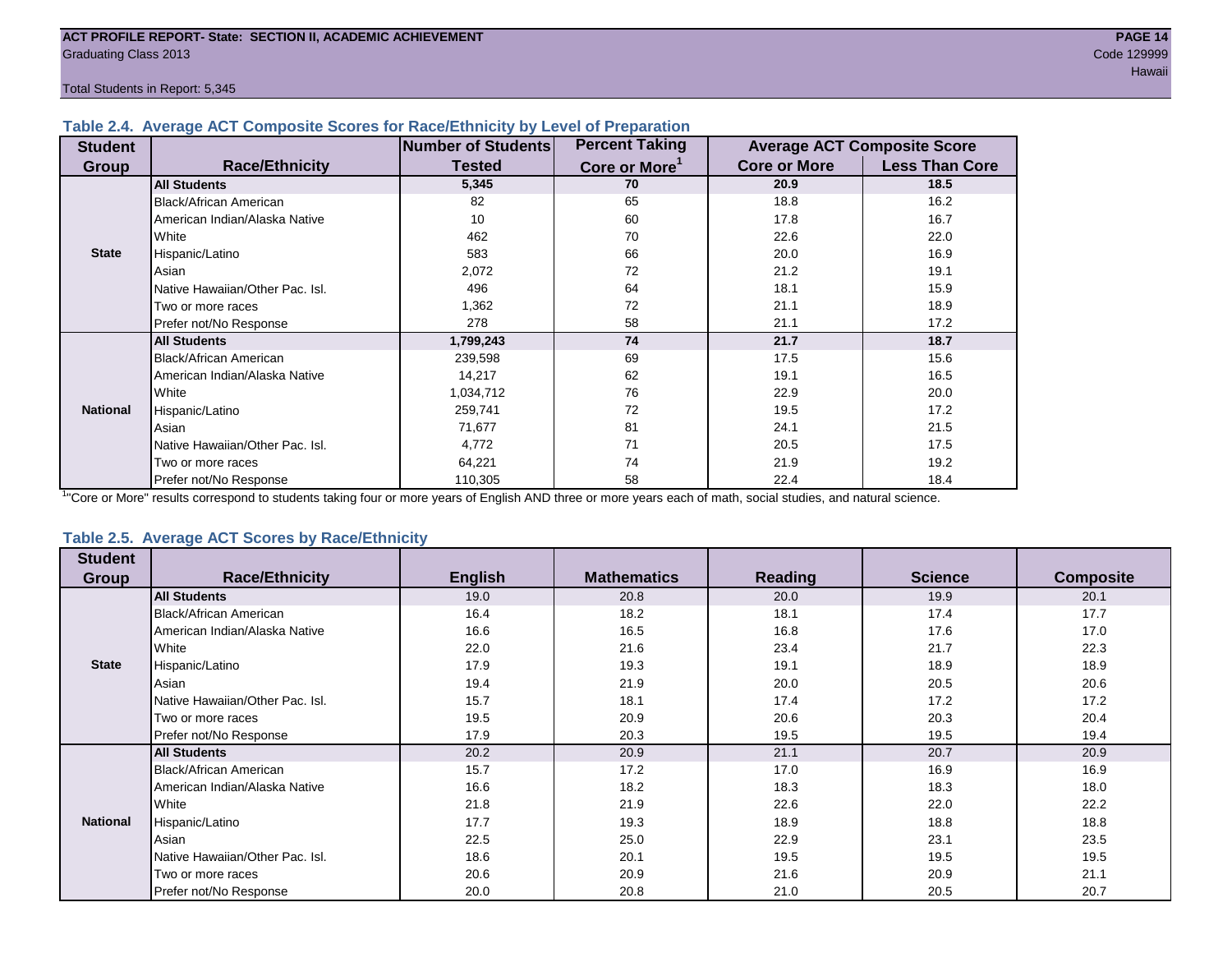Total Students in Report: 5,345

### **Table 2.4. Average ACT Composite Scores for Race/Ethnicity by Level of Preparation**

| <b>Student</b>  |                                 | <b>Number of Students</b> | <b>Percent Taking</b>     |                     | <b>Average ACT Composite Score</b> |
|-----------------|---------------------------------|---------------------------|---------------------------|---------------------|------------------------------------|
| Group           | <b>Race/Ethnicity</b>           | <b>Tested</b>             | Core or More <sup>1</sup> | <b>Core or More</b> | <b>Less Than Core</b>              |
|                 | <b>All Students</b>             | 5,345                     | 70                        | 20.9                | 18.5                               |
|                 | Black/African American          | 82                        | 65                        | 18.8                | 16.2                               |
|                 | American Indian/Alaska Native   | 10                        | 60                        | 17.8                | 16.7                               |
|                 | <b>I</b> White                  | 462                       | 70                        | 22.6                | 22.0                               |
| <b>State</b>    | Hispanic/Latino                 | 583                       | 66                        | 20.0                | 16.9                               |
|                 | Asian                           | 2,072                     | 72                        | 21.2                | 19.1                               |
|                 | Native Hawaiian/Other Pac. Isl. | 496                       | 64                        | 18.1                | 15.9                               |
|                 | I Two or more races             | 1,362                     | 72                        | 21.1                | 18.9                               |
|                 | Prefer not/No Response          | 278                       | 58                        | 21.1                | 17.2                               |
|                 | <b>All Students</b>             | 1,799,243                 | 74                        | 21.7                | 18.7                               |
|                 | Black/African American          | 239,598                   | 69                        | 17.5                | 15.6                               |
|                 | American Indian/Alaska Native   | 14,217                    | 62                        | 19.1                | 16.5                               |
|                 | White                           | 1,034,712                 | 76                        | 22.9                | 20.0                               |
| <b>National</b> | Hispanic/Latino                 | 259,741                   | 72                        | 19.5                | 17.2                               |
|                 | Asian                           | 71,677                    | 81                        | 24.1                | 21.5                               |
|                 | Native Hawaiian/Other Pac. Isl. | 4,772                     | 71                        | 20.5                | 17.5                               |
|                 | I Two or more races             | 64,221                    | 74                        | 21.9                | 19.2                               |
|                 | Prefer not/No Response          | 110,305                   | 58                        | 22.4                | 18.4                               |

<sup>1</sup>"Core or More" results correspond to students taking four or more years of English AND three or more years each of math, social studies, and natural science.

#### **Table 2.5. Average ACT Scores by Race/Ethnicity**

| <b>Student</b>  |                                 |                |                    |                |                |                  |
|-----------------|---------------------------------|----------------|--------------------|----------------|----------------|------------------|
| <b>Group</b>    | <b>Race/Ethnicity</b>           | <b>English</b> | <b>Mathematics</b> | <b>Reading</b> | <b>Science</b> | <b>Composite</b> |
|                 | <b>All Students</b>             | 19.0           | 20.8               | 20.0           | 19.9           | 20.1             |
|                 | Black/African American          | 16.4           | 18.2               | 18.1           | 17.4           | 17.7             |
|                 | American Indian/Alaska Native   | 16.6           | 16.5               | 16.8           | 17.6           | 17.0             |
|                 | White                           | 22.0           | 21.6               | 23.4           | 21.7           | 22.3             |
| <b>State</b>    | Hispanic/Latino                 | 17.9           | 19.3               | 19.1           | 18.9           | 18.9             |
|                 | Asian                           | 19.4           | 21.9               | 20.0           | 20.5           | 20.6             |
|                 | Native Hawaiian/Other Pac. Isl. | 15.7           | 18.1               | 17.4           | 17.2           | 17.2             |
|                 | Two or more races               | 19.5           | 20.9               | 20.6           | 20.3           | 20.4             |
|                 | Prefer not/No Response          | 17.9           | 20.3               | 19.5           | 19.5           | 19.4             |
|                 | <b>All Students</b>             | 20.2           | 20.9               | 21.1           | 20.7           | 20.9             |
|                 | Black/African American          | 15.7           | 17.2               | 17.0           | 16.9           | 16.9             |
|                 | American Indian/Alaska Native   | 16.6           | 18.2               | 18.3           | 18.3           | 18.0             |
|                 | White                           | 21.8           | 21.9               | 22.6           | 22.0           | 22.2             |
| <b>National</b> | Hispanic/Latino                 | 17.7           | 19.3               | 18.9           | 18.8           | 18.8             |
|                 | Asian                           | 22.5           | 25.0               | 22.9           | 23.1           | 23.5             |
|                 | Native Hawaiian/Other Pac. Isl. | 18.6           | 20.1               | 19.5           | 19.5           | 19.5             |
|                 | Two or more races               | 20.6           | 20.9               | 21.6           | 20.9           | 21.1             |
|                 | Prefer not/No Response          | 20.0           | 20.8               | 21.0           | 20.5           | 20.7             |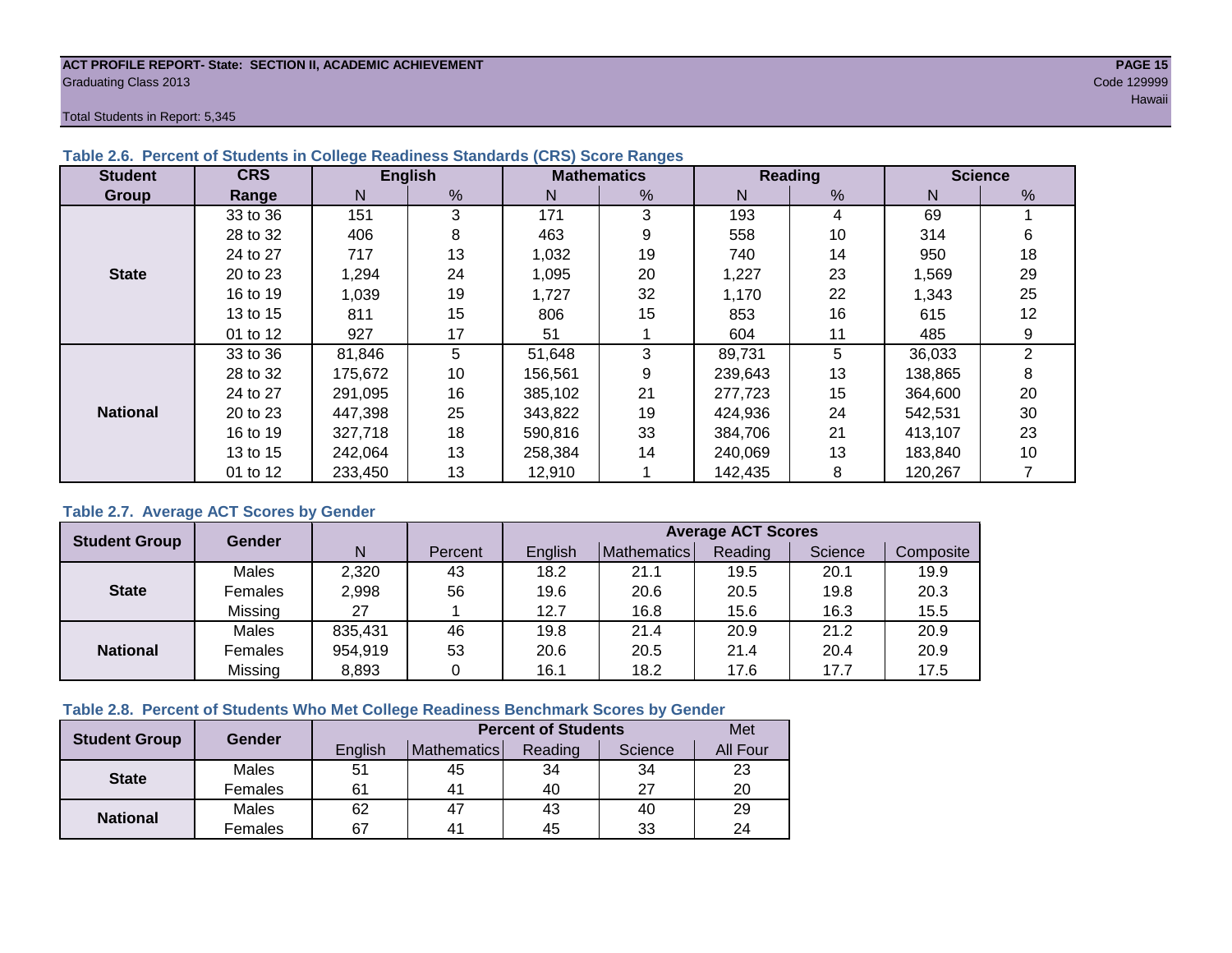#### **ACT PROFILE REPORT- State: SECTION II, ACADEMIC ACHIEVEMENT PAGE 15** Graduating Class 2013 Code 129999

Total Students in Report: 5,345

| <b>Student</b>  | <b>CRS</b> |         | <b>English</b> |         | <b>Mathematics</b> |         | Reading |         | <b>Science</b> |
|-----------------|------------|---------|----------------|---------|--------------------|---------|---------|---------|----------------|
| Group           | Range      | N       | %              | N       | $\frac{9}{6}$      | N       | %       | N       | %              |
|                 | 33 to 36   | 151     | 3              | 171     | 3                  | 193     | 4       | 69      |                |
|                 | 28 to 32   | 406     | 8              | 463     | 9                  | 558     | 10      | 314     | 6              |
|                 | 24 to 27   | 717     | 13             | 1,032   | 19                 | 740     | 14      | 950     | 18             |
| <b>State</b>    | 20 to 23   | 1,294   | 24             | 1,095   | 20                 | 1,227   | 23      | 1,569   | 29             |
|                 | 16 to 19   | 1,039   | 19             | 1,727   | 32                 | 1,170   | 22      | 1,343   | 25             |
|                 | 13 to 15   | 811     | 15             | 806     | 15                 | 853     | 16      | 615     | 12             |
|                 | 01 to 12   | 927     | 17             | 51      |                    | 604     | 11      | 485     | 9              |
|                 | 33 to 36   | 81,846  | 5              | 51,648  | 3                  | 89,731  | 5       | 36,033  | $\overline{2}$ |
|                 | 28 to 32   | 175,672 | 10             | 156,561 | 9                  | 239,643 | 13      | 138,865 | 8              |
|                 | 24 to 27   | 291.095 | 16             | 385.102 | 21                 | 277,723 | 15      | 364,600 | 20             |
| <b>National</b> | 20 to 23   | 447,398 | 25             | 343,822 | 19                 | 424,936 | 24      | 542,531 | 30             |
|                 | 16 to 19   | 327,718 | 18             | 590,816 | 33                 | 384.706 | 21      | 413,107 | 23             |
|                 | 13 to 15   | 242,064 | 13             | 258,384 | 14                 | 240,069 | 13      | 183,840 | 10             |
|                 | 01 to 12   | 233,450 | 13             | 12,910  |                    | 142,435 | 8       | 120,267 |                |

# **Table 2.6. Percent of Students in College Readiness Standards (CRS) Score Ranges**

### **Table 2.7. Average ACT Scores by Gender**

| <b>Student Group</b> | <b>Gender</b> |         |         | <b>Average ACT Scores</b> |             |         |         |           |  |  |  |
|----------------------|---------------|---------|---------|---------------------------|-------------|---------|---------|-----------|--|--|--|
|                      |               | N       | Percent | Enalish                   | Mathematics | Reading | Science | Composite |  |  |  |
|                      | Males         | 2,320   | 43      | 18.2                      | 21.1        | 19.5    | 20.1    | 19.9      |  |  |  |
| <b>State</b>         | Females       | 2,998   | 56      | 19.6                      | 20.6        | 20.5    | 19.8    | 20.3      |  |  |  |
|                      | Missing       | 27      |         | 12.7                      | 16.8        | 15.6    | 16.3    | 15.5      |  |  |  |
|                      | Males         | 835,431 | 46      | 19.8                      | 21.4        | 20.9    | 21.2    | 20.9      |  |  |  |
| <b>National</b>      | Females       | 954,919 | 53      | 20.6                      | 20.5        | 21.4    | 20.4    | 20.9      |  |  |  |
|                      | Missing       | 8,893   | 0       | 16.1                      | 18.2        | 17.6    | 17.7    | 17.5      |  |  |  |

### **Table 2.8. Percent of Students Who Met College Readiness Benchmark Scores by Gender**

| <b>Student Group</b> | <b>Gender</b> |         | Met                                                                                                                                              |         |         |          |
|----------------------|---------------|---------|--------------------------------------------------------------------------------------------------------------------------------------------------|---------|---------|----------|
|                      |               | English | <b>Percent of Students</b><br><b>Mathematics</b><br>34<br>51<br>45<br>40<br>61<br>4 <sup>1</sup><br>62<br>47<br>43<br>67<br>45<br>4 <sup>1</sup> | Reading | Science | All Four |
| <b>State</b>         | Males         |         |                                                                                                                                                  |         | 34      | 23       |
|                      | Females       |         |                                                                                                                                                  |         | 27      | 20       |
| <b>National</b>      | Males         |         |                                                                                                                                                  |         | 40      | 29       |
|                      | Females       |         |                                                                                                                                                  |         | 33      | 24       |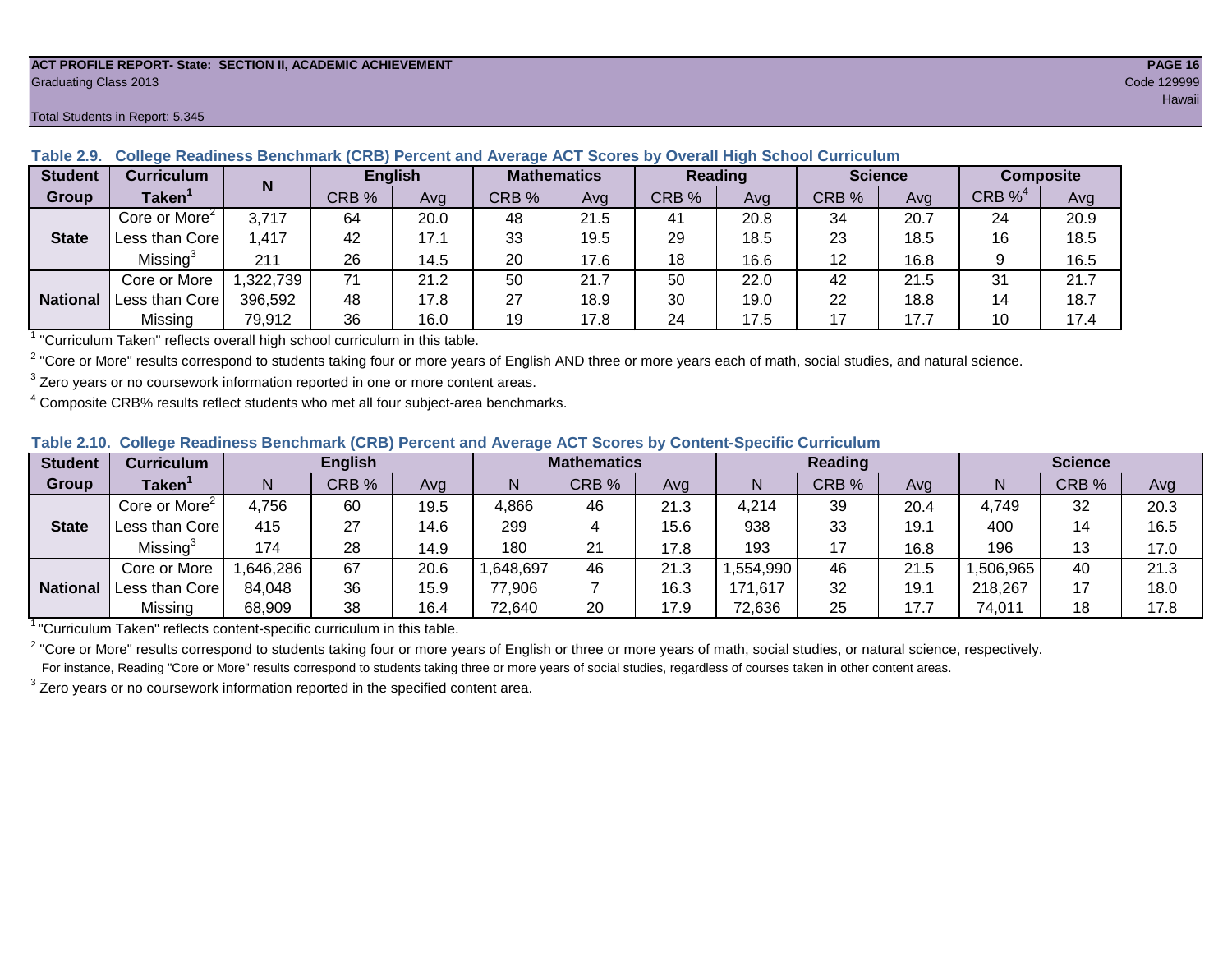#### **ACT PROFILE REPORT- State: SECTION II, ACADEMIC ACHIEVEMENT PAGE 16** Graduating Class 2013 Code 129999

#### **Student Curriculum English Mathematics Reading Science Composite Group Taken<sup>1</sup> | III** CRB % | Avg | CRB % | Avg | CRB % | Avg | CRB % | CRB %<sup>4</sup> Avg Core or More<sup>2</sup> 3,717 64 20.0 48 21.5 41 20.8 34 20.7 24 20.9 Less than Core | 1,417 | 42 | 17.1 | 33 | 19.5 | 29 | 18.5 | 23 | 18.5 | 16 | 18.5 Missing<sup>3</sup> 211 | 26 | 14.5 | 20 | 17.6 | 18 | 16.6 | 12 | 16.8 | 9 | 16.5 Core or More | 1,322,739 | 71 | 21.2 | 50 | 250 | 22.0 | 42 | 21.5 | 31 | 21.7 Less than Core 396,592 48 17.8 27 18.9 30 19.0 22 18.8 14 18.7 Missing | 79,912 | 36 | 16.0 | 19 | 17.8 | 24 | 17.5 | 17 | 17.7 | 10 | 17.4 **N State National**

**Table 2.9. College Readiness Benchmark (CRB) Percent and Average ACT Scores by Overall High School Curriculum**

<sup>1</sup> "Curriculum Taken" reflects overall high school curriculum in this table.

 $^2$  "Core or More" results correspond to students taking four or more years of English AND three or more years each of math, social studies, and natural science.

 $3$  Zero years or no coursework information reported in one or more content areas.

 $4$  Composite CRB% results reflect students who met all four subject-area benchmarks.

| Table 2.10. College Readiness Benchmark (CRB) Percent and Average ACT Scores by Content-Specific Curriculum |
|-------------------------------------------------------------------------------------------------------------|
|-------------------------------------------------------------------------------------------------------------|

| <b>Student</b>  | Curriculum                |          | <b>English</b> |      | <b>Mathematics</b> |       |      |          | <b>Reading</b> |      | <b>Science</b> |       |      |
|-----------------|---------------------------|----------|----------------|------|--------------------|-------|------|----------|----------------|------|----------------|-------|------|
| Group           | <b>Taken</b>              |          | CRB %          | Avg  |                    | CRB % | Avg  | N        | CRB %          | Avg  | N              | CRB % | Avg  |
|                 | Core or More <sup>2</sup> | 4,756    | 60             | 19.5 | 4,866              | 46    | 21.3 | 4,214    | 39             | 20.4 | 4,749          | 32    | 20.3 |
| <b>State</b>    | Less than Corel           | 415      | 27             | 14.6 | 299                |       | 15.6 | 938      | 33             | 19.1 | 400            | 14    | 16.5 |
|                 | Missing®                  | 174      | 28             | 14.9 | 180                | 21    | 17.8 | 193      | 17             | 16.8 | 196            | 13    | 17.0 |
|                 | Core or More              | ,646,286 | 67             | 20.6 | .648,697           | 46    | 21.3 | .554,990 | 46             | 21.5 | ,506,965       | 40    | 21.3 |
| <b>National</b> | Less than Core            | 84,048   | 36             | 15.9 | 77,906             |       | 16.3 | 171,617  | 32             | 19.1 | 218,267        | 17    | 18.0 |
|                 | Missing                   | 68,909   | 38             | 16.4 | 72,640             | 20    | 17.9 | 72,636   | 25             | 17.7 | 74,011         | 18    | 17.8 |

<sup>1</sup>"Curriculum Taken" reflects content-specific curriculum in this table.

<sup>2</sup> "Core or More" results correspond to students taking four or more years of English or three or more years of math, social studies, or natural science, respectively. For instance, Reading "Core or More" results correspond to students taking three or more years of social studies, regardless of courses taken in other content areas.

 $3$  Zero years or no coursework information reported in the specified content area.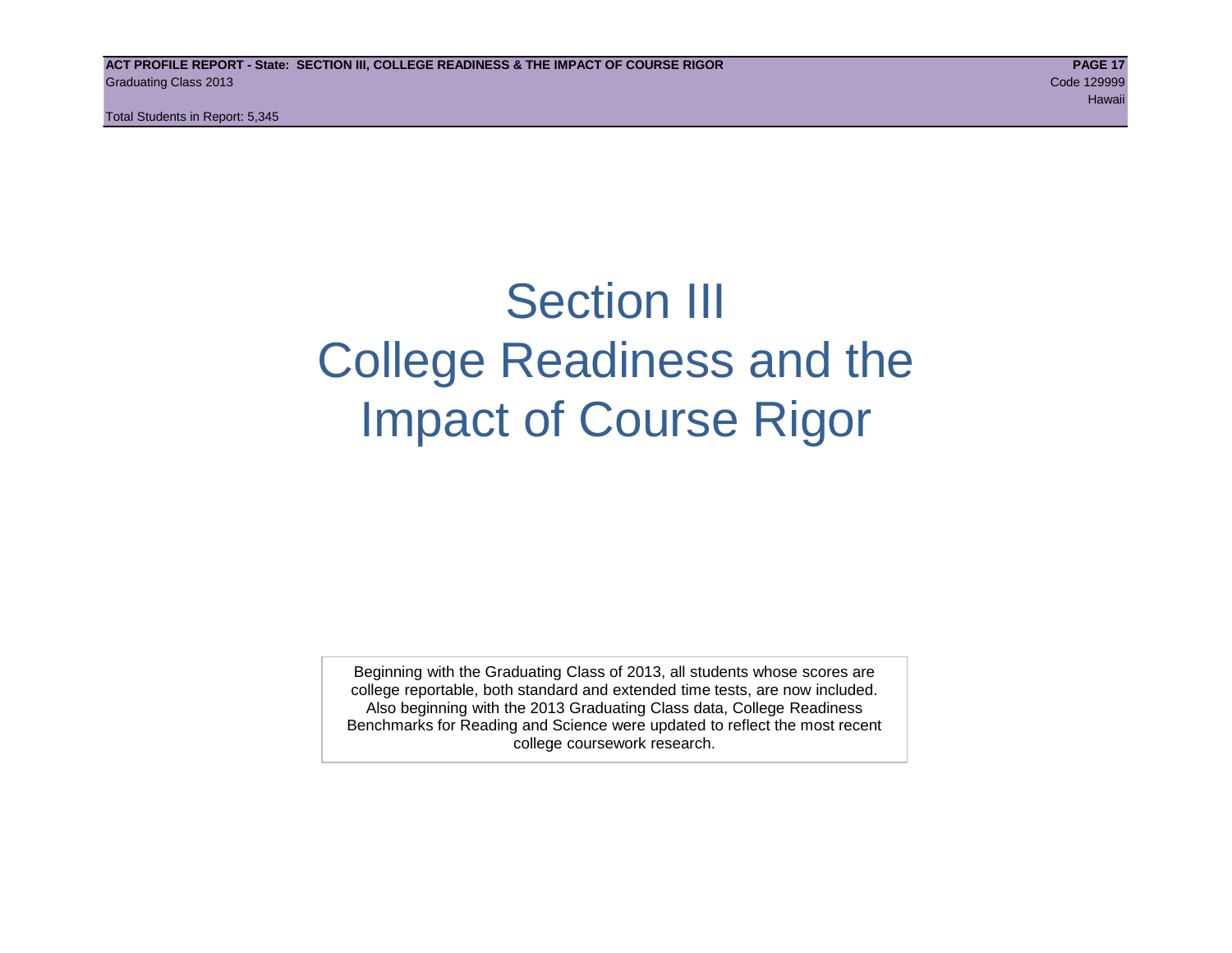Total Students in Report: 5,345

# Section III College Readiness and the Impact of Course Rigor

Beginning with the Graduating Class of 2013, all students whose scores are college reportable, both standard and extended time tests, are now included. Also beginning with the 2013 Graduating Class data, College Readiness Benchmarks for Reading and Science were updated to reflect the most recent college coursework research.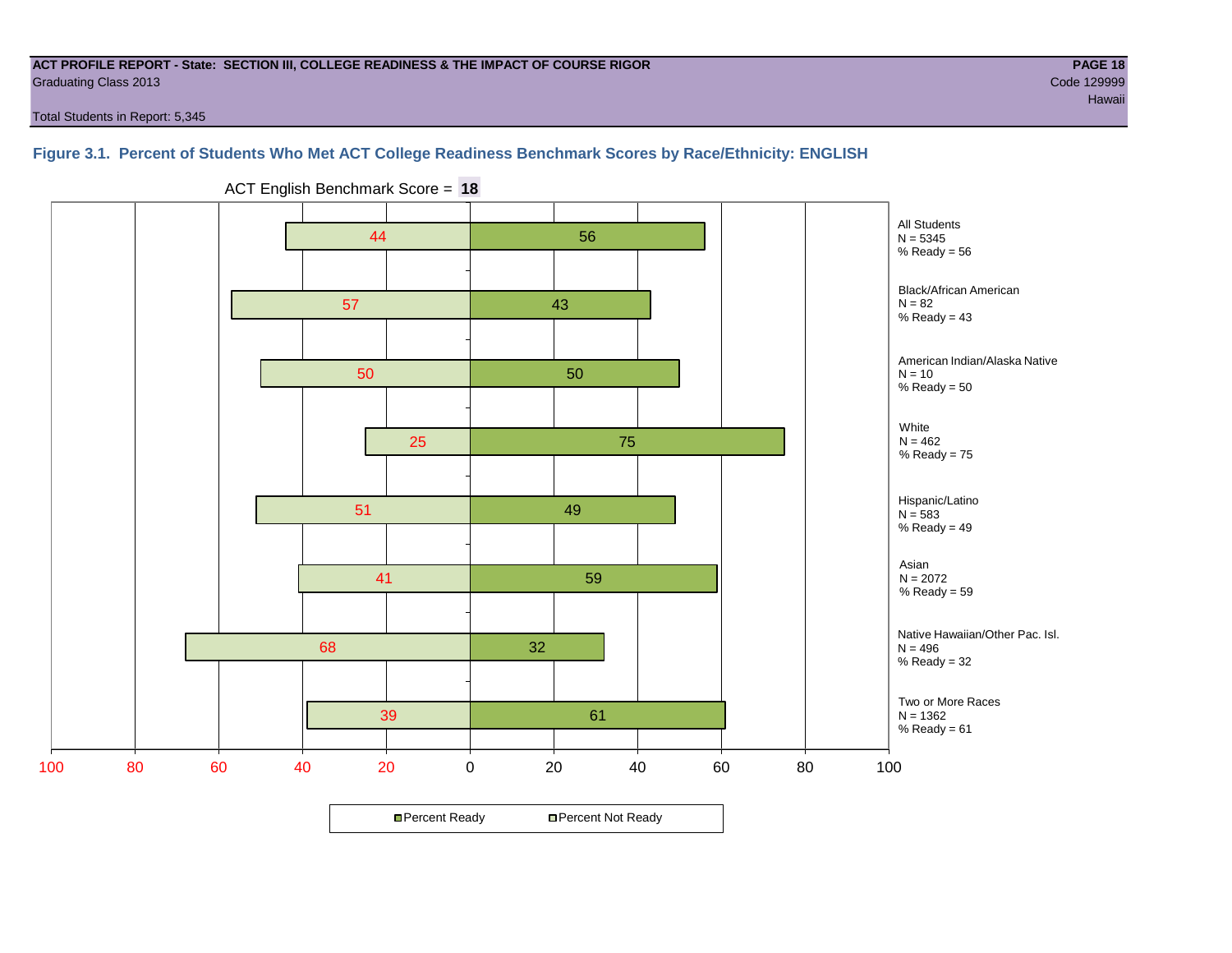#### **ACT PROFILE REPORT - State: SECTION III, COLLEGE READINESS & THE IMPACT OF COURSE RIGOR PAGE 18** Graduating Class 2013 Code 129999

Total Students in Report: 5,345

### **Figure 3.1. Percent of Students Who Met ACT College Readiness Benchmark Scores by Race/Ethnicity: ENGLISH**



ACT English Benchmark Score = **18**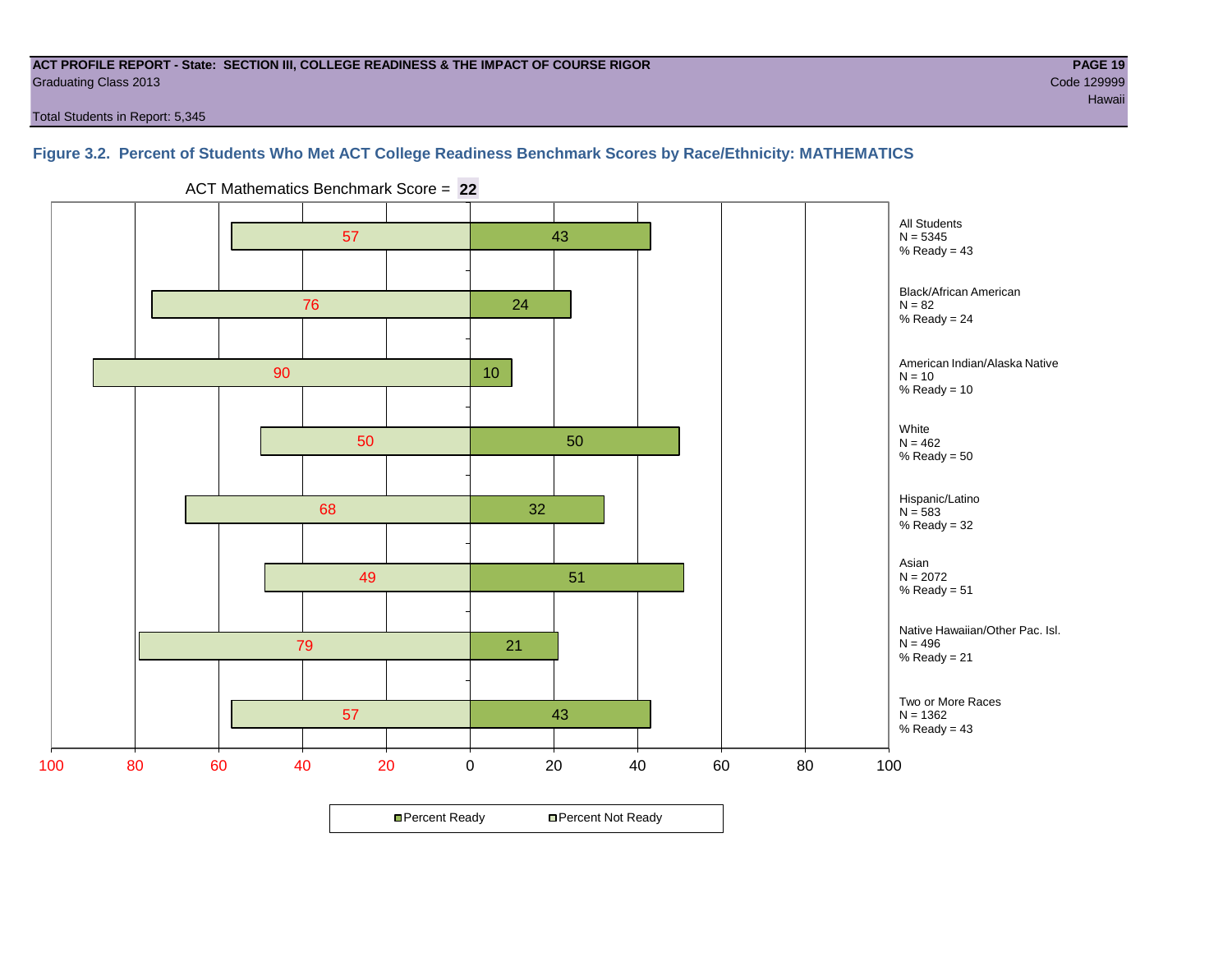#### **ACT PROFILE REPORT - State: SECTION III, COLLEGE READINESS & THE IMPACT OF COURSE RIGOR PAGE 19** Graduating Class 2013 Code 129999

Total Students in Report: 5,345

# **Figure 3.2. Percent of Students Who Met ACT College Readiness Benchmark Scores by Race/Ethnicity: MATHEMATICS**

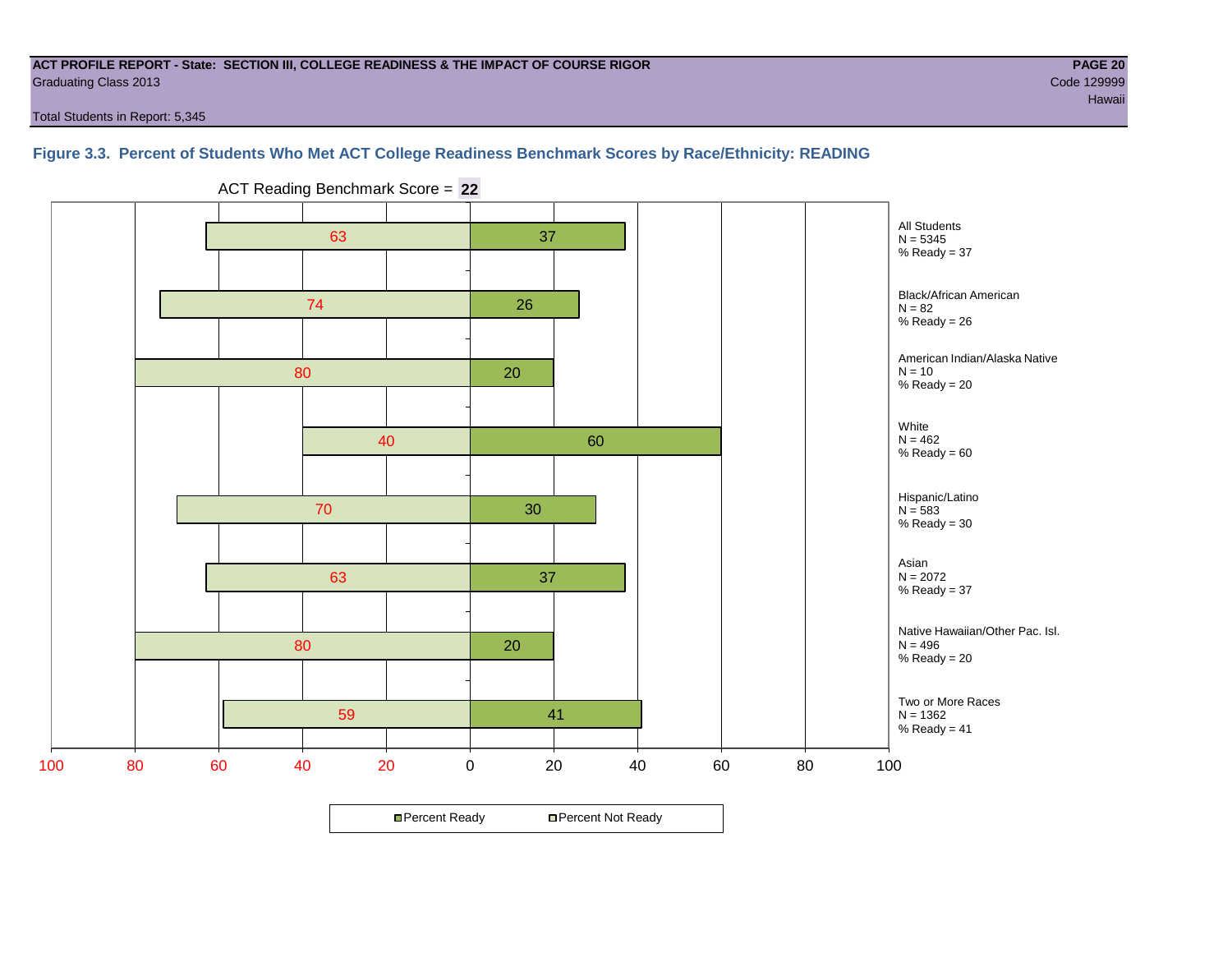#### **ACT PROFILE REPORT - State: SECTION III, COLLEGE READINESS & THE IMPACT OF COURSE RIGOR PAGE 20** Graduating Class 2013 Code 129999

Total Students in Report: 5,345

**Figure 3.3. Percent of Students Who Met ACT College Readiness Benchmark Scores by Race/Ethnicity: READING**

59 80 63 70 40 80 74 63 41 20 37 30 60 20 26 37 100 80 60 40 20 0 20 40 60 80 100 All Students  $N = 5345$  $%$  Ready = 37 Black/African American  $N = 82$ %  $Reach = 26$ American Indian/Alaska Native  $N = 10$ %  $Reachy = 20$ White  $N = 462$  $%$  Ready =  $60$ Hispanic/Latino  $N = 583$ %  $Ready = 30$ Asian  $N = 2072$ %  $Ready = 37$ Two or More Races  $N = 1362$ %  $Ready = 41$ Native Hawaiian/Other Pac. Isl.  $N = 496$  $%$  Ready = 20

ACT Reading Benchmark Score = **22**

**□ Percent Ready DPercent Not Ready**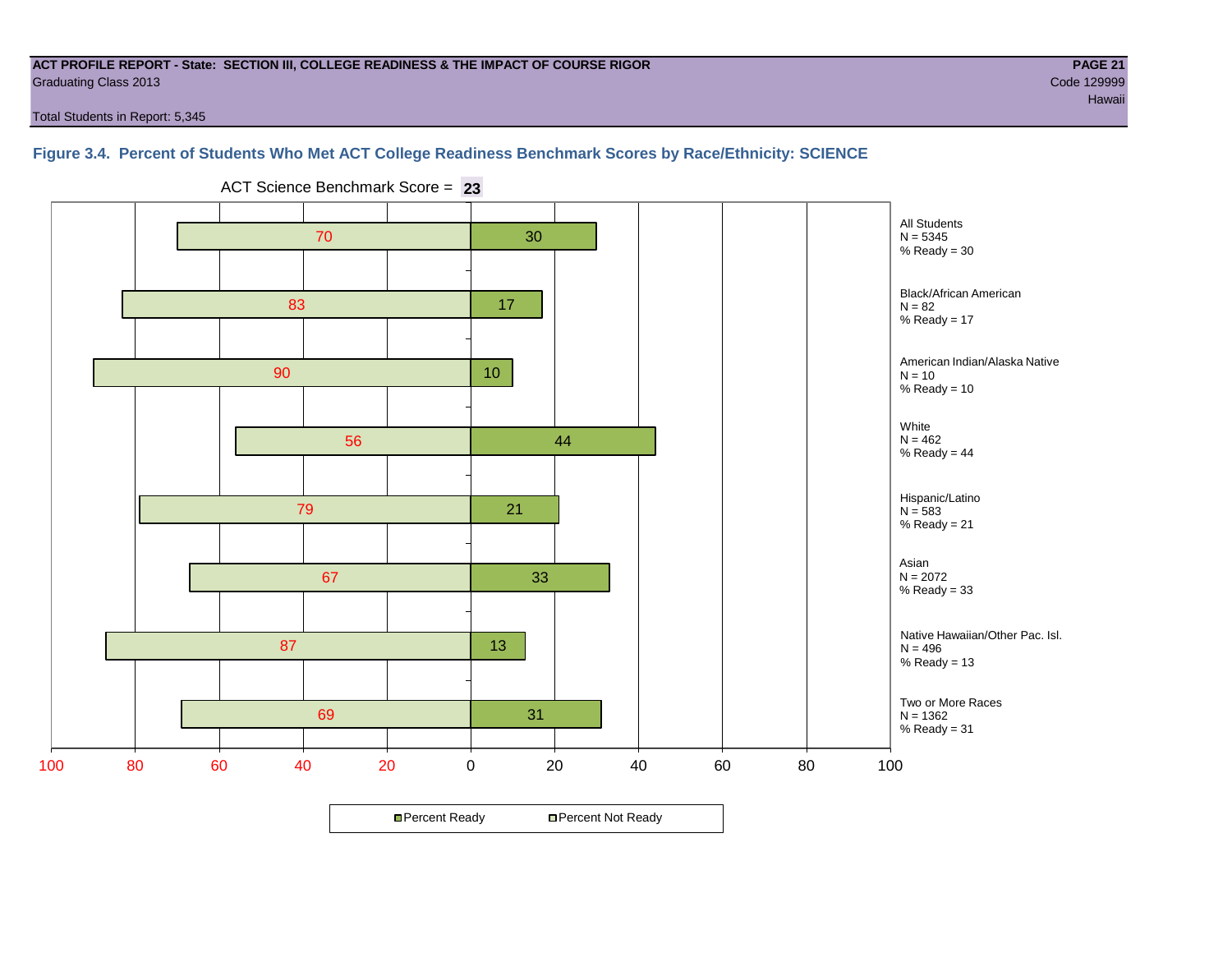#### **ACT PROFILE REPORT - State: SECTION III, COLLEGE READINESS & THE IMPACT OF COURSE RIGOR PAGE 21** Graduating Class 2013 Code 129999

Total Students in Report: 5,345

# **Figure 3.4. Percent of Students Who Met ACT College Readiness Benchmark Scores by Race/Ethnicity: SCIENCE**



ACT Science Benchmark Score = **23**

**□ Percent Ready DPercent Not Ready**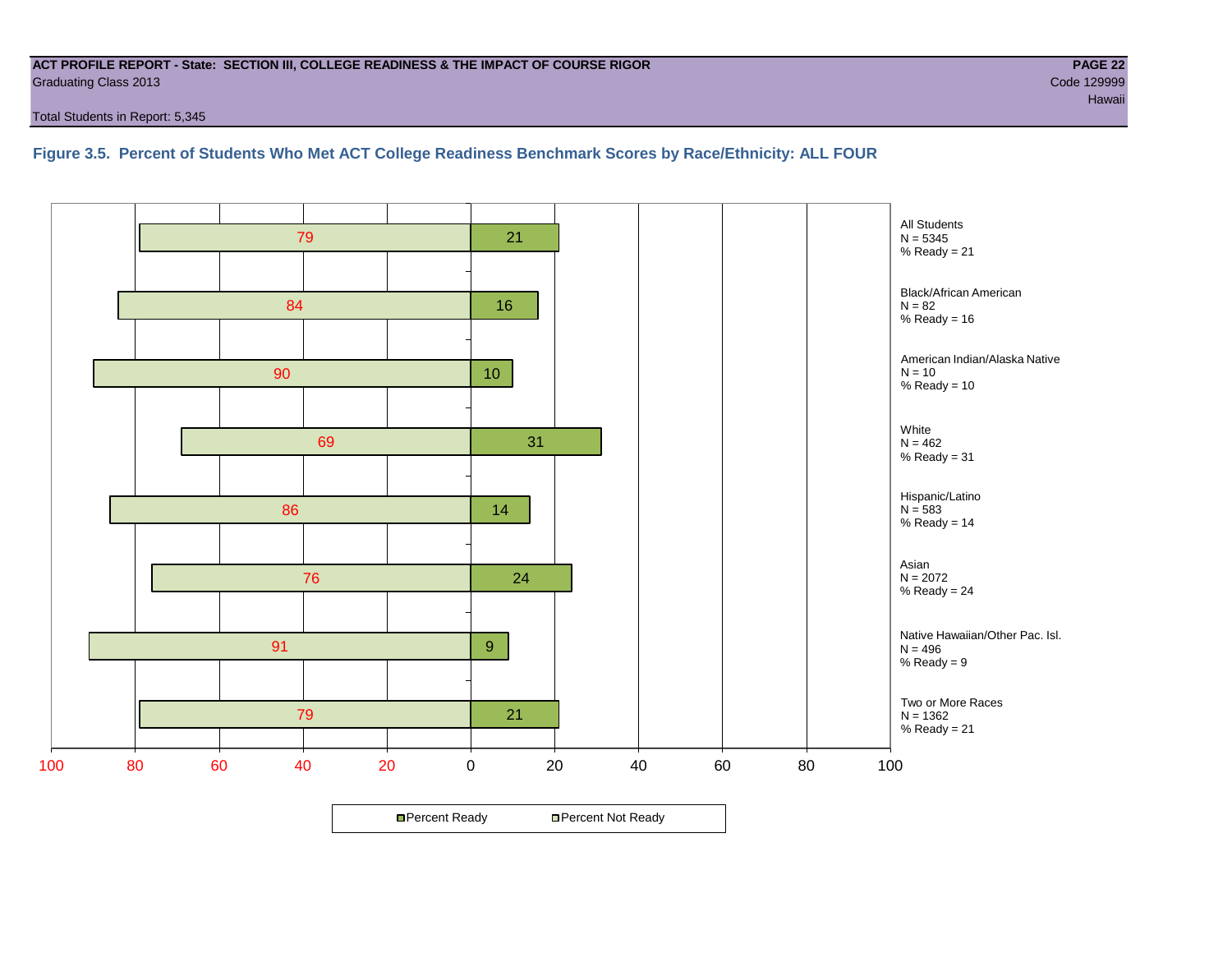#### **ACT PROFILE REPORT - State: SECTION III, COLLEGE READINESS & THE IMPACT OF COURSE RIGOR PAGE 22** Graduating Class 2013 Code 129999

Total Students in Report: 5,345

**Figure 3.5. Percent of Students Who Met ACT College Readiness Benchmark Scores by Race/Ethnicity: ALL FOUR**

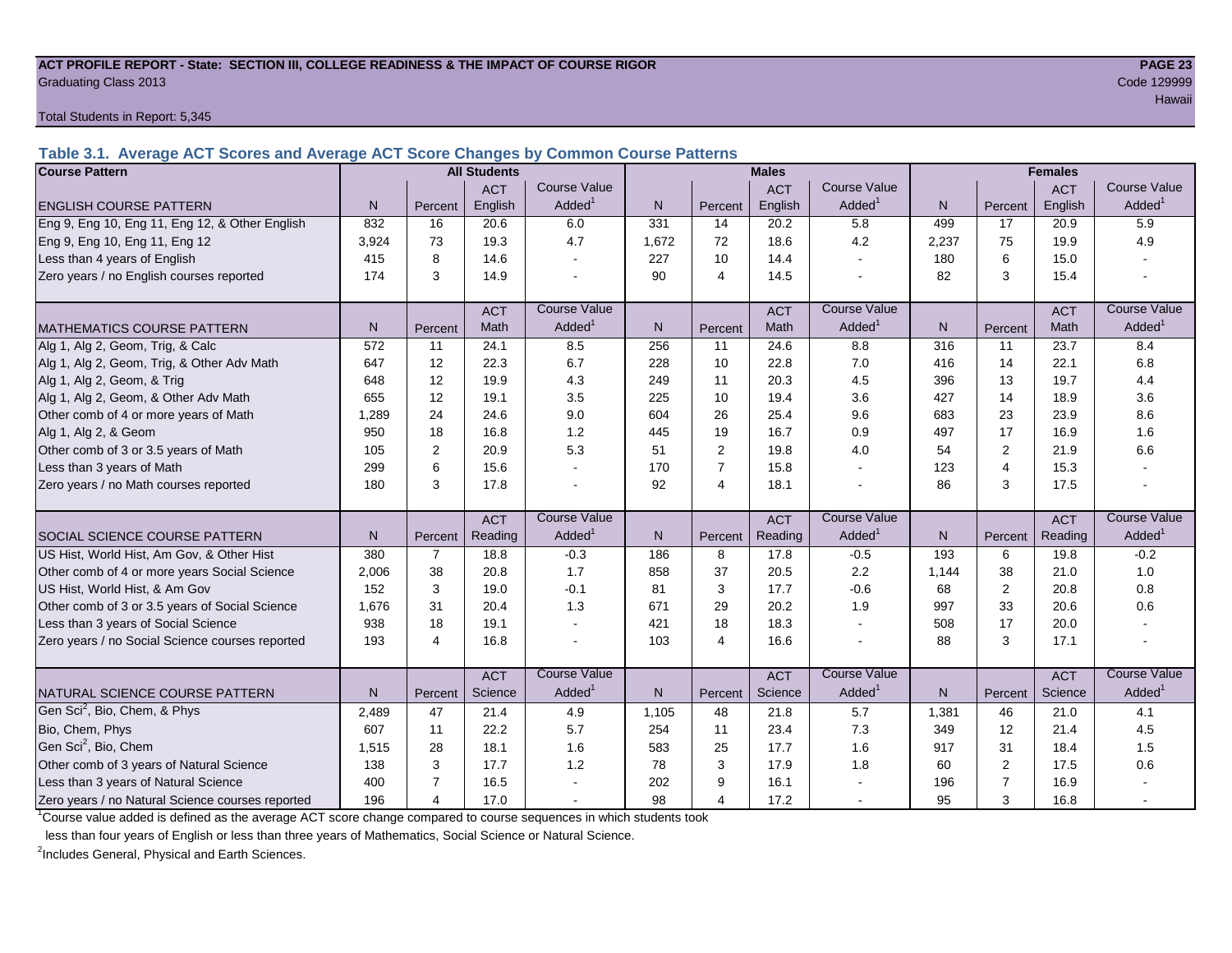#### **ACT PROFILE REPORT - State: SECTION III, COLLEGE READINESS & THE IMPACT OF COURSE RIGOR PAGE 23** Graduating Class 2013 Code 129999

Total Students in Report: 5,345

**Table 3.1. Average ACT Scores and Average ACT Score Changes by Common Course Patterns**

| <b>Course Pattern</b>                            |                |                | <b>All Students</b> |                     |       |                | <b>Males</b> |                     |       |                | <b>Females</b> |                        |
|--------------------------------------------------|----------------|----------------|---------------------|---------------------|-------|----------------|--------------|---------------------|-------|----------------|----------------|------------------------|
|                                                  |                |                | <b>ACT</b>          | Course Value        |       |                | <b>ACT</b>   | <b>Course Value</b> |       |                | <b>ACT</b>     | <b>Course Value</b>    |
| <b>ENGLISH COURSE PATTERN</b>                    | N <sub>1</sub> | Percent        | English             | Added               | N     | Percent        | English      | Added               | N     | Percent        | English        | A d d e d <sup>1</sup> |
| Eng 9, Eng 10, Eng 11, Eng 12, & Other English   | 832            | 16             | 20.6                | 6.0                 | 331   | 14             | 20.2         | 5.8                 | 499   | 17             | 20.9           | 5.9                    |
| Eng 9, Eng 10, Eng 11, Eng 12                    | 3,924          | 73             | 19.3                | 4.7                 | 1,672 | 72             | 18.6         | 4.2                 | 2,237 | 75             | 19.9           | 4.9                    |
| Less than 4 years of English                     | 415            | 8              | 14.6                |                     | 227   | 10             | 14.4         |                     | 180   | 6              | 15.0           |                        |
| Zero years / no English courses reported         | 174            | 3              | 14.9                |                     | 90    | $\overline{4}$ | 14.5         |                     | 82    | 3              | 15.4           |                        |
|                                                  |                |                | <b>ACT</b>          | <b>Course Value</b> |       |                | <b>ACT</b>   | <b>Course Value</b> |       |                | <b>ACT</b>     | <b>Course Value</b>    |
| <b>MATHEMATICS COURSE PATTERN</b>                | N.             | Percent        | <b>Math</b>         | Added <sup>1</sup>  | N.    | Percent        | Math         | Added <sup>1</sup>  | N     | Percent        | Math           | Added <sup>1</sup>     |
| Alg 1, Alg 2, Geom, Trig, & Calc                 | 572            | 11             | 24.1                | 8.5                 | 256   | 11             | 24.6         | 8.8                 | 316   | 11             | 23.7           | 8.4                    |
| Alg 1, Alg 2, Geom, Trig, & Other Adv Math       | 647            | 12             | 22.3                | 6.7                 | 228   | 10             | 22.8         | 7.0                 | 416   | 14             | 22.1           | 6.8                    |
| Alg 1, Alg 2, Geom, & Trig                       | 648            | 12             | 19.9                | 4.3                 | 249   | 11             | 20.3         | 4.5                 | 396   | 13             | 19.7           | 4.4                    |
| Alg 1, Alg 2, Geom, & Other Adv Math             | 655            | 12             | 19.1                | 3.5                 | 225   | 10             | 19.4         | 3.6                 | 427   | 14             | 18.9           | 3.6                    |
| Other comb of 4 or more years of Math            | 1.289          | 24             | 24.6                | 9.0                 | 604   | 26             | 25.4         | 9.6                 | 683   | 23             | 23.9           | 8.6                    |
| Alg 1, Alg 2, & Geom                             | 950            | 18             | 16.8                | 1.2                 | 445   | 19             | 16.7         | 0.9                 | 497   | 17             | 16.9           | 1.6                    |
| Other comb of 3 or 3.5 years of Math             | 105            | $\overline{2}$ | 20.9                | 5.3                 | 51    | $\overline{2}$ | 19.8         | 4.0                 | 54    | $\overline{2}$ | 21.9           | 6.6                    |
| Less than 3 years of Math                        | 299            | 6              | 15.6                |                     | 170   | $\overline{7}$ | 15.8         |                     | 123   | $\overline{4}$ | 15.3           |                        |
| Zero years / no Math courses reported            | 180            | 3              | 17.8                |                     | 92    | $\overline{4}$ | 18.1         |                     | 86    | 3              | 17.5           |                        |
|                                                  |                |                | <b>ACT</b>          | <b>Course Value</b> |       |                | <b>ACT</b>   | <b>Course Value</b> |       |                | <b>ACT</b>     | <b>Course Value</b>    |
| <b>ISOCIAL SCIENCE COURSE PATTERN</b>            | N.             | Percent        | Reading             | Added               | N     | Percent        | Reading      | Added               | N     | Percent        | Reading        | A d d e d <sup>1</sup> |
| US Hist, World Hist, Am Gov, & Other Hist        | 380            | $\overline{7}$ | 18.8                | $-0.3$              | 186   | 8              | 17.8         | $-0.5$              | 193   | 6              | 19.8           | $-0.2$                 |
| Other comb of 4 or more years Social Science     | 2,006          | 38             | 20.8                | 1.7                 | 858   | 37             | 20.5         | 2.2                 | 1,144 | 38             | 21.0           | 1.0                    |
| US Hist, World Hist, & Am Gov                    | 152            | 3              | 19.0                | $-0.1$              | 81    | 3              | 17.7         | $-0.6$              | 68    | $\overline{2}$ | 20.8           | 0.8                    |
| Other comb of 3 or 3.5 years of Social Science   | 1,676          | 31             | 20.4                | 1.3                 | 671   | 29             | 20.2         | 1.9                 | 997   | 33             | 20.6           | 0.6                    |
| Less than 3 years of Social Science              | 938            | 18             | 19.1                |                     | 421   | 18             | 18.3         | $\sim$              | 508   | 17             | 20.0           |                        |
| Zero years / no Social Science courses reported  | 193            | 4              | 16.8                |                     | 103   | $\overline{4}$ | 16.6         |                     | 88    | 3              | 17.1           | $\sim$                 |
|                                                  |                |                | <b>ACT</b>          | <b>Course Value</b> |       |                | <b>ACT</b>   | <b>Course Value</b> |       |                | <b>ACT</b>     | <b>Course Value</b>    |
| NATURAL SCIENCE COURSE PATTERN                   | N <sub>1</sub> | Percent        | Science             | Added               | N.    | Percent        | Science      | Added               | N     | Percent        | Science        | A d d e d <sup>1</sup> |
| Gen Sci <sup>2</sup> , Bio, Chem, & Phys         | 2,489          | 47             | 21.4                | 4.9                 | 1,105 | 48             | 21.8         | 5.7                 | 1,381 | 46             | 21.0           | 4.1                    |
| Bio, Chem, Phys                                  | 607            | 11             | 22.2                | 5.7                 | 254   | 11             | 23.4         | 7.3                 | 349   | 12             | 21.4           | 4.5                    |
| Gen Sci <sup>2</sup> , Bio, Chem                 | 1,515          | 28             | 18.1                | 1.6                 | 583   | 25             | 17.7         | 1.6                 | 917   | 31             | 18.4           | 1.5                    |
| Other comb of 3 years of Natural Science         | 138            | 3              | 17.7                | 1.2                 | 78    | $\mathsf 3$    | 17.9         | 1.8                 | 60    | 2              | 17.5           | 0.6                    |
| Less than 3 years of Natural Science             | 400            | $\overline{7}$ | 16.5                |                     | 202   | 9              | 16.1         |                     | 196   | $\overline{7}$ | 16.9           |                        |
| Zero years / no Natural Science courses reported | 196            | 4              | 17.0                |                     | 98    | $\overline{4}$ | 17.2         |                     | 95    | 3              | 16.8           |                        |

<sup>1</sup>Course value added is defined as the average ACT score change compared to course sequences in which students took

less than four years of English or less than three years of Mathematics, Social Science or Natural Science.

<sup>2</sup>Includes General, Physical and Earth Sciences.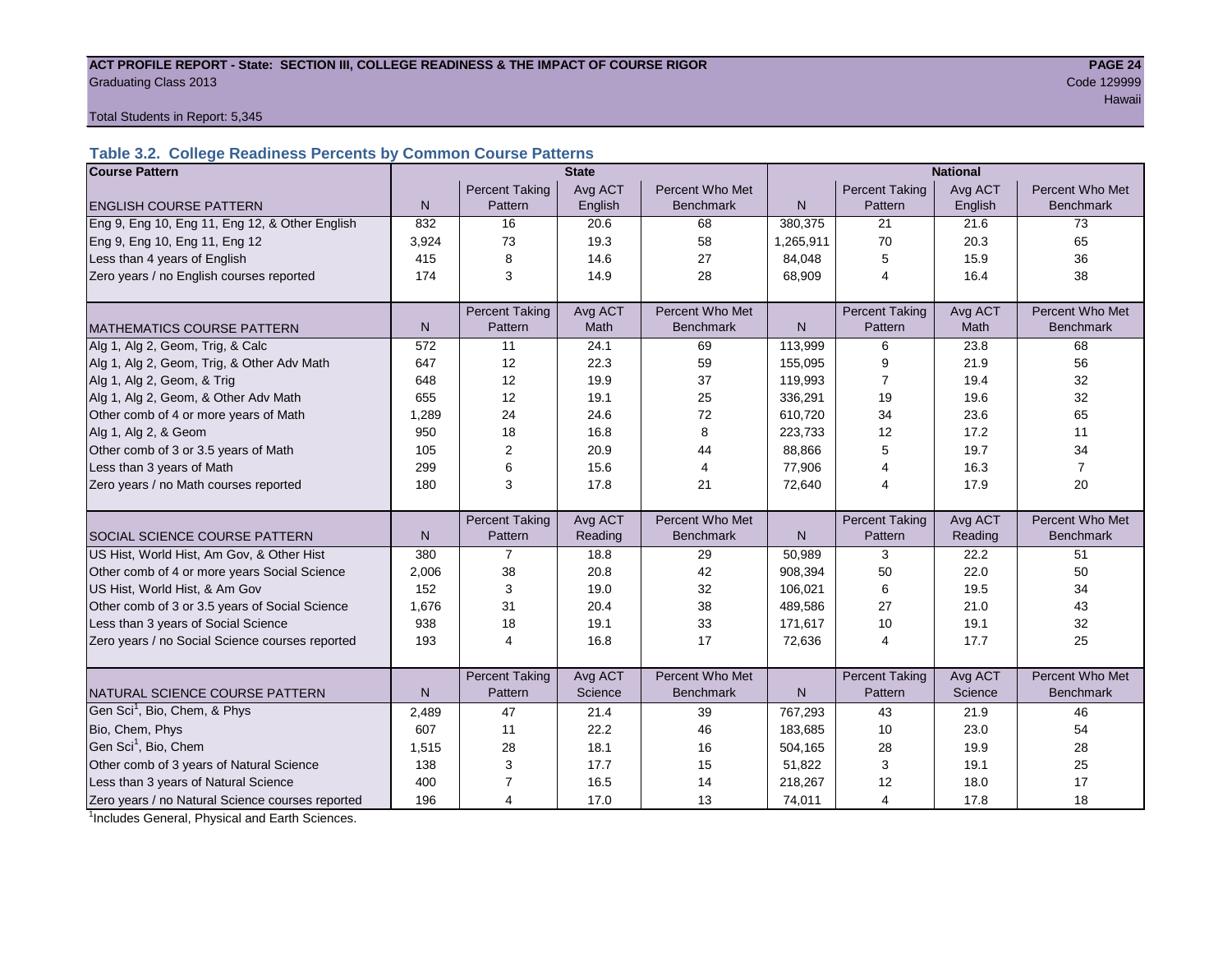#### ACT PROFILE REPORT - State: SECTION III, COLLEGE READINESS & THE IMPACT OF COURSE RIGOR **PAGE 24 Graduating Class 2013** Code 129999

Hawaii

Total Students in Report: 5,345

# **Table 3.2. College Readiness Percents by Common Course Patterns**

| <b>Course Pattern</b>                            |              |                       | <b>State</b> |                  |              | <b>National</b><br><b>Percent Taking</b><br>Percent Who Met<br>Avg ACT |         |                  |  |
|--------------------------------------------------|--------------|-----------------------|--------------|------------------|--------------|------------------------------------------------------------------------|---------|------------------|--|
|                                                  |              | <b>Percent Taking</b> | Avg ACT      | Percent Who Met  |              |                                                                        |         |                  |  |
| <b>ENGLISH COURSE PATTERN</b>                    | $\mathsf{N}$ | Pattern               | English      | <b>Benchmark</b> | N            | Pattern                                                                | English | <b>Benchmark</b> |  |
| Eng 9, Eng 10, Eng 11, Eng 12, & Other English   | 832          | 16                    | 20.6         | 68               | 380,375      | 21                                                                     | 21.6    | 73               |  |
| Eng 9, Eng 10, Eng 11, Eng 12                    | 3,924        | 73                    | 19.3         | 58               | 1,265,911    | 70                                                                     | 20.3    | 65               |  |
| Less than 4 years of English                     | 415          | 8                     | 14.6         | 27               | 84,048       | 5                                                                      | 15.9    | 36               |  |
| Zero years / no English courses reported         | 174          | 3                     | 14.9         | 28               | 68,909       | $\overline{4}$                                                         | 16.4    | 38               |  |
|                                                  |              |                       |              |                  |              |                                                                        |         |                  |  |
|                                                  |              | <b>Percent Taking</b> | Avg ACT      | Percent Who Met  |              | <b>Percent Taking</b>                                                  | Avg ACT | Percent Who Met  |  |
| <b>MATHEMATICS COURSE PATTERN</b>                | $\mathsf{N}$ | Pattern               | Math         | <b>Benchmark</b> | $\mathsf{N}$ | Pattern                                                                | Math    | Benchmark        |  |
| Alg 1, Alg 2, Geom, Trig, & Calc                 | 572          | 11                    | 24.1         | 69               | 113,999      | 6                                                                      | 23.8    | 68               |  |
| Alg 1, Alg 2, Geom, Trig, & Other Adv Math       | 647          | 12                    | 22.3         | 59               | 155,095      | 9                                                                      | 21.9    | 56               |  |
| Alg 1, Alg 2, Geom, & Trig                       | 648          | 12                    | 19.9         | 37               | 119,993      | 7                                                                      | 19.4    | 32               |  |
| Alg 1, Alg 2, Geom, & Other Adv Math             | 655          | 12                    | 19.1         | 25               | 336,291      | 19                                                                     | 19.6    | 32               |  |
| Other comb of 4 or more years of Math            | 1,289        | 24                    | 24.6         | 72               | 610,720      | 34                                                                     | 23.6    | 65               |  |
| Alg 1, Alg 2, & Geom                             | 950          | 18                    | 16.8         | 8                | 223,733      | 12                                                                     | 17.2    | 11               |  |
| Other comb of 3 or 3.5 years of Math             | 105          | 2                     | 20.9         | 44               | 88,866       | 5                                                                      | 19.7    | 34               |  |
| Less than 3 years of Math                        | 299          | 6                     | 15.6         | 4                | 77,906       | 4                                                                      | 16.3    | $\overline{7}$   |  |
| Zero years / no Math courses reported            | 180          | 3                     | 17.8         | 21               | 72,640       | 4                                                                      | 17.9    | 20               |  |
|                                                  |              |                       |              |                  |              |                                                                        |         |                  |  |
|                                                  |              | <b>Percent Taking</b> | Avg ACT      | Percent Who Met  |              | <b>Percent Taking</b>                                                  | Avg ACT | Percent Who Met  |  |
| <b>SOCIAL SCIENCE COURSE PATTERN</b>             | N            | Pattern               | Reading      | <b>Benchmark</b> | N            | Pattern                                                                | Reading | <b>Benchmark</b> |  |
| US Hist, World Hist, Am Gov, & Other Hist        | 380          | $\overline{7}$        | 18.8         | 29               | 50,989       | 3                                                                      | 22.2    | 51               |  |
| Other comb of 4 or more years Social Science     | 2,006        | 38                    | 20.8         | 42               | 908,394      | 50                                                                     | 22.0    | 50               |  |
| US Hist, World Hist, & Am Gov                    | 152          | 3                     | 19.0         | 32               | 106,021      | 6                                                                      | 19.5    | 34               |  |
| Other comb of 3 or 3.5 years of Social Science   | 1,676        | 31                    | 20.4         | 38               | 489.586      | 27                                                                     | 21.0    | 43               |  |
| Less than 3 years of Social Science              | 938          | 18                    | 19.1         | 33               | 171,617      | 10                                                                     | 19.1    | 32               |  |
| Zero years / no Social Science courses reported  | 193          | 4                     | 16.8         | 17               | 72,636       | 4                                                                      | 17.7    | 25               |  |
|                                                  |              |                       |              |                  |              |                                                                        |         |                  |  |
|                                                  |              | <b>Percent Taking</b> | Avg ACT      | Percent Who Met  |              | Percent Taking                                                         | Avg ACT | Percent Who Met  |  |
| NATURAL SCIENCE COURSE PATTERN                   | N            | Pattern               | Science      | <b>Benchmark</b> | N.           | Pattern                                                                | Science | <b>Benchmark</b> |  |
| Gen Sci <sup>1</sup> , Bio, Chem, & Phys         | 2,489        | 47                    | 21.4         | 39               | 767,293      | 43                                                                     | 21.9    | 46               |  |
| Bio, Chem, Phys                                  | 607          | 11                    | 22.2         | 46               | 183,685      | 10                                                                     | 23.0    | 54               |  |
| Gen Sci <sup>1</sup> , Bio, Chem                 | 1,515        | 28                    | 18.1         | 16               | 504,165      | 28                                                                     | 19.9    | 28               |  |
| Other comb of 3 years of Natural Science         | 138          | 3                     | 17.7         | 15               | 51,822       | 3                                                                      | 19.1    | 25               |  |
| Less than 3 years of Natural Science             | 400          | 7                     | 16.5         | 14               | 218,267      | 12                                                                     | 18.0    | 17               |  |
| Zero years / no Natural Science courses reported | 196          | 4                     | 17.0         | 13               | 74,011       | 4                                                                      | 17.8    | 18               |  |

<sup>1</sup>Includes General, Physical and Earth Sciences.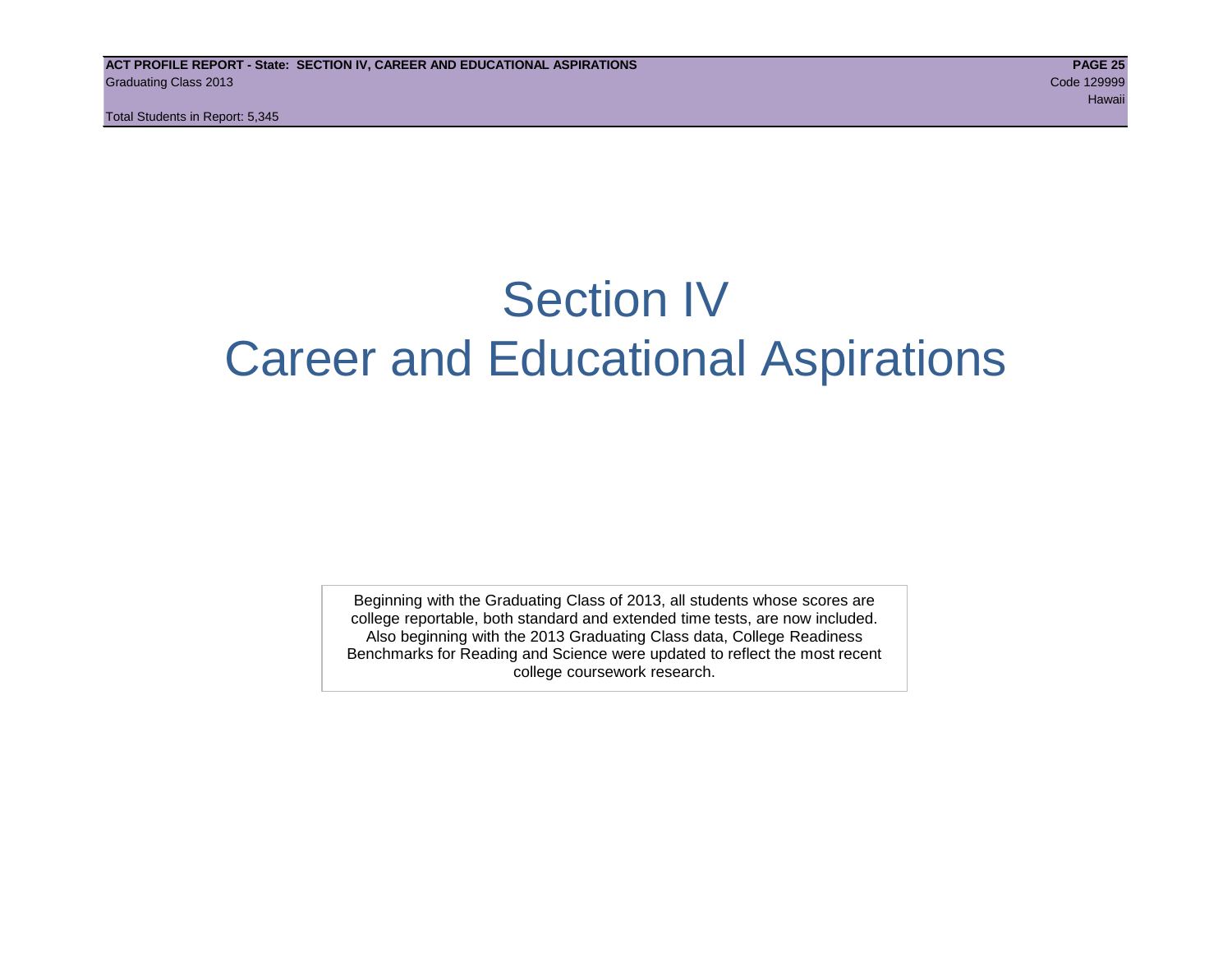# Section IV Career and Educational Aspirations

Beginning with the Graduating Class of 2013, all students whose scores are college reportable, both standard and extended time tests, are now included. Also beginning with the 2013 Graduating Class data, College Readiness Benchmarks for Reading and Science were updated to reflect the most recent college coursework research.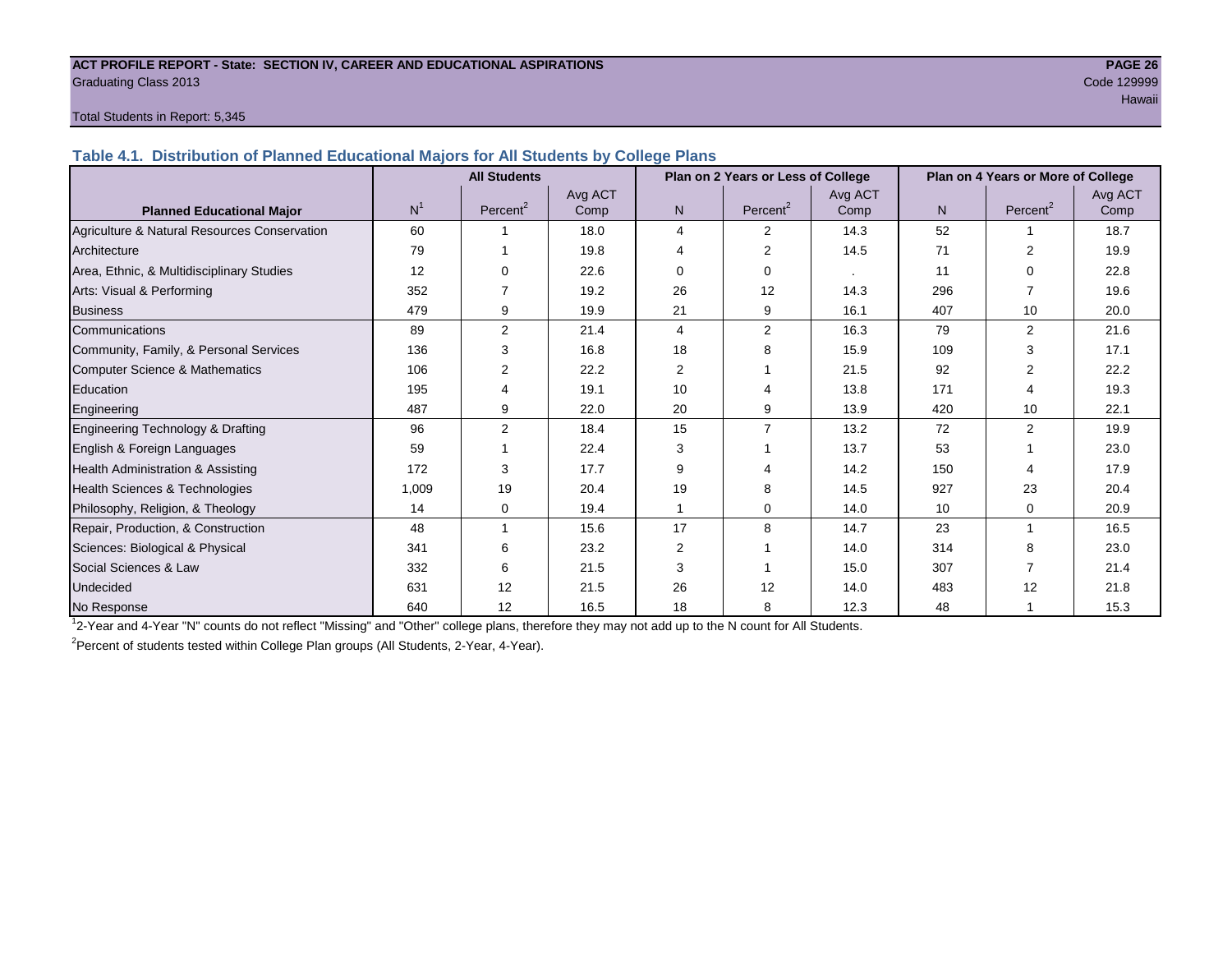#### **ACT PROFILE REPORT - State: SECTION IV, CAREER AND EDUCATIONAL ASPIRATIONS PAGE 26** Graduating Class 2013 Code 129999

# Hawaii iyo kale katika maalaa ka maalaa lagu saaraa lagu saaraa lagu saaraa lagu saaraa lagu saaraa lagu saara

#### Total Students in Report: 5,345

**Table 4.1. Distribution of Planned Educational Majors for All Students by College Plans**

|                                              | Plan on 2 Years or Less of College<br><b>All Students</b> |                      |         |                |                      |         | Plan on 4 Years or More of College |                      |         |
|----------------------------------------------|-----------------------------------------------------------|----------------------|---------|----------------|----------------------|---------|------------------------------------|----------------------|---------|
|                                              |                                                           |                      | Avg ACT |                |                      | Avg ACT |                                    |                      | Avg ACT |
| <b>Planned Educational Major</b>             | N <sup>1</sup>                                            | Percent <sup>2</sup> | Comp    | N <sub>1</sub> | Percent <sup>2</sup> | Comp    | N.                                 | Percent <sup>2</sup> | Comp    |
| Agriculture & Natural Resources Conservation | 60                                                        |                      | 18.0    | 4              | 2                    | 14.3    | 52                                 |                      | 18.7    |
| Architecture                                 | 79                                                        |                      | 19.8    | 4              | 2                    | 14.5    | 71                                 | 2                    | 19.9    |
| Area, Ethnic, & Multidisciplinary Studies    | 12                                                        |                      | 22.6    | 0              | $\Omega$             |         | 11                                 | $\Omega$             | 22.8    |
| Arts: Visual & Performing                    | 352                                                       |                      | 19.2    | 26             | 12                   | 14.3    | 296                                |                      | 19.6    |
| <b>Business</b>                              | 479                                                       | 9                    | 19.9    | 21             | 9                    | 16.1    | 407                                | 10                   | 20.0    |
| Communications                               | 89                                                        | $\overline{2}$       | 21.4    | 4              | 2                    | 16.3    | 79                                 | $\overline{2}$       | 21.6    |
| Community, Family, & Personal Services       | 136                                                       | 3                    | 16.8    | 18             | 8                    | 15.9    | 109                                | 3                    | 17.1    |
| <b>Computer Science &amp; Mathematics</b>    | 106                                                       | $\overline{2}$       | 22.2    | $\overline{2}$ |                      | 21.5    | 92                                 |                      | 22.2    |
| Education                                    | 195                                                       | 4                    | 19.1    | 10             | Δ                    | 13.8    | 171                                |                      | 19.3    |
| Engineering                                  | 487                                                       | 9                    | 22.0    | 20             | 9                    | 13.9    | 420                                | 10                   | 22.1    |
| Engineering Technology & Drafting            | 96                                                        | $\overline{2}$       | 18.4    | 15             | $\overline{7}$       | 13.2    | 72                                 | $\overline{2}$       | 19.9    |
| English & Foreign Languages                  | 59                                                        |                      | 22.4    | 3              |                      | 13.7    | 53                                 |                      | 23.0    |
| Health Administration & Assisting            | 172                                                       | 3                    | 17.7    | 9              |                      | 14.2    | 150                                |                      | 17.9    |
| Health Sciences & Technologies               | 1,009                                                     | 19                   | 20.4    | 19             | 8                    | 14.5    | 927                                | 23                   | 20.4    |
| Philosophy, Religion, & Theology             | 14                                                        | 0                    | 19.4    |                | $\Omega$             | 14.0    | 10                                 | 0                    | 20.9    |
| Repair, Production, & Construction           | 48                                                        |                      | 15.6    | 17             | 8                    | 14.7    | 23                                 |                      | 16.5    |
| Sciences: Biological & Physical              | 341                                                       | 6                    | 23.2    | $\overline{2}$ |                      | 14.0    | 314                                | 8                    | 23.0    |
| Social Sciences & Law                        | 332                                                       | 6                    | 21.5    | 3              |                      | 15.0    | 307                                |                      | 21.4    |
| Undecided                                    | 631                                                       | 12                   | 21.5    | 26             | 12                   | 14.0    | 483                                | 12                   | 21.8    |
| No Response                                  | 640                                                       | 12                   | 16.5    | 18             | 8                    | 12.3    | 48                                 |                      | 15.3    |

1 2-Year and 4-Year "N" counts do not reflect "Missing" and "Other" college plans, therefore they may not add up to the N count for All Students.

<sup>2</sup> Percent of students tested within College Plan groups (All Students, 2-Year, 4-Year).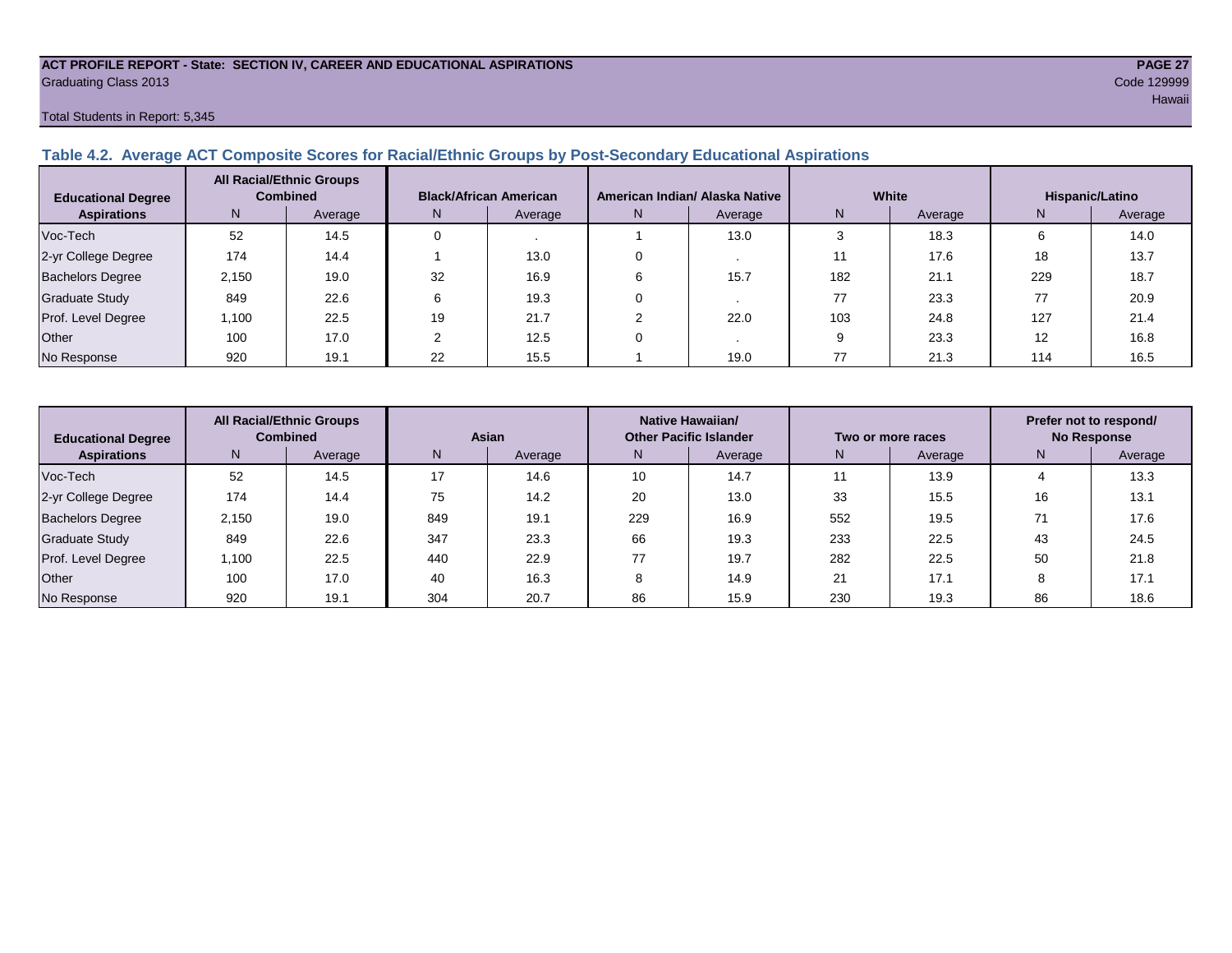#### **ACT PROFILE REPORT - State: SECTION IV, CAREER AND EDUCATIONAL ASPIRATIONS PAGE 27** Graduating Class 2013 Code 129999

#### Total Students in Report: 5,345

### **Table 4.2. Average ACT Composite Scores for Racial/Ethnic Groups by Post-Secondary Educational Aspirations**

| <b>Educational Degree</b> |       | <b>All Racial/Ethnic Groups</b><br><b>Combined</b> |     | <b>Black/African American</b> |   | American Indian/ Alaska Native |     | White   | Hispanic/Latino |         |  |
|---------------------------|-------|----------------------------------------------------|-----|-------------------------------|---|--------------------------------|-----|---------|-----------------|---------|--|
| <b>Aspirations</b>        | N.    | Average                                            | IN. | Average                       | N | Average                        | N   | Average | N               | Average |  |
| Voc-Tech                  | 52    | 14.5                                               |     |                               |   | 13.0                           |     | 18.3    | 6               | 14.0    |  |
| 2-yr College Degree       | 174   | 14.4                                               |     | 13.0                          |   |                                |     | 17.6    | 18              | 13.7    |  |
| <b>Bachelors Degree</b>   | 2,150 | 19.0                                               | 32  | 16.9                          |   | 15.7                           | 182 | 21.1    | 229             | 18.7    |  |
| Graduate Study            | 849   | 22.6                                               |     | 19.3                          |   |                                | 77  | 23.3    |                 | 20.9    |  |
| Prof. Level Degree        | 1,100 | 22.5                                               | 19  | 21.7                          |   | 22.0                           | 103 | 24.8    | 127             | 21.4    |  |
| Other                     | 100   | 17.0                                               |     | 12.5                          |   |                                |     | 23.3    | 12              | 16.8    |  |
| No Response               | 920   | 19.1                                               | 22  | 15.5                          |   | 19.0                           | 77  | 21.3    | 114             | 16.5    |  |

| <b>Educational Degree</b> | <b>All Racial/Ethnic Groups</b><br><b>Combined</b> |         | Asian |         | Native Hawaiian/<br><b>Other Pacific Islander</b> |         | Two or more races |         | Prefer not to respond/<br><b>No Response</b> |         |  |
|---------------------------|----------------------------------------------------|---------|-------|---------|---------------------------------------------------|---------|-------------------|---------|----------------------------------------------|---------|--|
| <b>Aspirations</b>        | N <sub>1</sub>                                     | Average | N     | Average | N.                                                | Average | N                 | Average | N                                            | Average |  |
| Voc-Tech                  | 52                                                 | 14.5    | 17    | 14.6    | 10                                                | 14.7    |                   | 13.9    |                                              | 13.3    |  |
| 2-yr College Degree       | 174                                                | 14.4    | 75    | 14.2    | 20                                                | 13.0    | 33                | 15.5    | 16                                           | 13.1    |  |
| Bachelors Degree          | 2.150                                              | 19.0    | 849   | 19.1    | 229                                               | 16.9    | 552               | 19.5    |                                              | 17.6    |  |
| <b>Graduate Study</b>     | 849                                                | 22.6    | 347   | 23.3    | 66                                                | 19.3    | 233               | 22.5    | 43                                           | 24.5    |  |
| Prof. Level Degree        | 1.100                                              | 22.5    | 440   | 22.9    |                                                   | 19.7    | 282               | 22.5    | 50                                           | 21.8    |  |
| Other                     | 100                                                | 17.0    | 40    | 16.3    |                                                   | 14.9    | 21                | 17.1    | ŏ                                            | 17.1    |  |
| No Response               | 920                                                | 19.1    | 304   | 20.7    | 86                                                | 15.9    | 230               | 19.3    | 86                                           | 18.6    |  |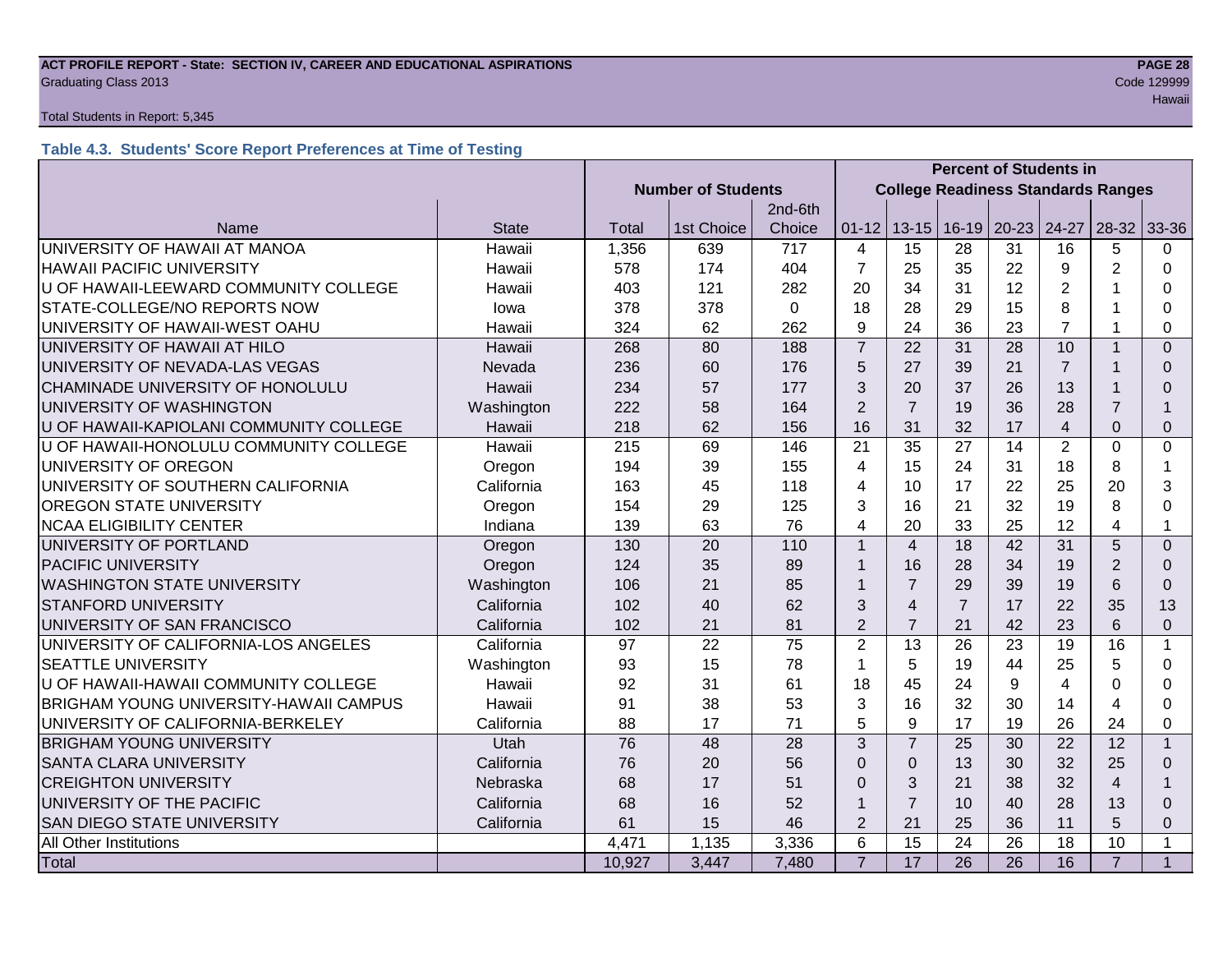#### **ACT PROFILE REPORT - State: SECTION IV, CAREER AND EDUCATIONAL ASPIRATIONS PAGE 28 Graduating Class 2013** Code 129999

#### Total Students in Report: 5,345

# **Table 4.3. Students' Score Report Preferences at Time of Testing**

|                                               |              |                           |            |             | <b>Percent of Students in</b> |                                           |                |           |                |                |                |  |
|-----------------------------------------------|--------------|---------------------------|------------|-------------|-------------------------------|-------------------------------------------|----------------|-----------|----------------|----------------|----------------|--|
|                                               |              | <b>Number of Students</b> |            |             |                               | <b>College Readiness Standards Ranges</b> |                |           |                |                |                |  |
|                                               |              |                           |            | 2nd-6th     |                               |                                           |                |           |                |                |                |  |
| Name                                          | <b>State</b> | Total                     | 1st Choice | Choice      | $01 - 12$                     | $13 - 15$                                 | $16-19$        | $20 - 23$ | 24-27          | $28-32$        | 33-36          |  |
| UNIVERSITY OF HAWAII AT MANOA                 | Hawaii       | 1,356                     | 639        | 717         | 4                             | 15                                        | 28             | 31        | 16             | 5              | 0              |  |
| <b>HAWAII PACIFIC UNIVERSITY</b>              | Hawaii       | 578                       | 174        | 404         | $\overline{7}$                | 25                                        | 35             | 22        | 9              | $\overline{2}$ | $\Omega$       |  |
| U OF HAWAII-LEEWARD COMMUNITY COLLEGE         | Hawaii       | 403                       | 121        | 282         | 20                            | 34                                        | 31             | 12        | $\overline{2}$ |                | $\Omega$       |  |
| STATE-COLLEGE/NO REPORTS NOW                  | lowa         | 378                       | 378        | $\mathbf 0$ | 18                            | 28                                        | 29             | 15        | 8              |                | 0              |  |
| UNIVERSITY OF HAWAII-WEST OAHU                | Hawaii       | 324                       | 62         | 262         | 9                             | 24                                        | 36             | 23        | $\overline{7}$ |                | 0              |  |
| UNIVERSITY OF HAWAII AT HILO                  | Hawaii       | 268                       | 80         | 188         | $\overline{7}$                | 22                                        | 31             | 28        | 10             |                | $\Omega$       |  |
| UNIVERSITY OF NEVADA-LAS VEGAS                | Nevada       | 236                       | 60         | 176         | 5                             | 27                                        | 39             | 21        | $\overline{7}$ |                | $\Omega$       |  |
| CHAMINADE UNIVERSITY OF HONOLULU              | Hawaii       | 234                       | 57         | 177         | 3                             | 20                                        | 37             | 26        | 13             |                | $\Omega$       |  |
| UNIVERSITY OF WASHINGTON                      | Washington   | 222                       | 58         | 164         | $\overline{2}$                | $\overline{7}$                            | 19             | 36        | 28             | $\overline{7}$ |                |  |
| U OF HAWAII-KAPIOLANI COMMUNITY COLLEGE       | Hawaii       | 218                       | 62         | 156         | 16                            | 31                                        | 32             | 17        | $\overline{4}$ | $\Omega$       | $\Omega$       |  |
| U OF HAWAII-HONOLULU COMMUNITY COLLEGE        | Hawaii       | 215                       | 69         | 146         | 21                            | 35                                        | 27             | 14        | $\overline{2}$ | $\mathbf 0$    | 0              |  |
| UNIVERSITY OF OREGON                          | Oregon       | 194                       | 39         | 155         | 4                             | 15                                        | 24             | 31        | 18             | 8              | 1              |  |
| UNIVERSITY OF SOUTHERN CALIFORNIA             | California   | 163                       | 45         | 118         | 4                             | 10                                        | 17             | 22        | 25             | 20             | 3              |  |
| <b>OREGON STATE UNIVERSITY</b>                | Oregon       | 154                       | 29         | 125         | 3                             | 16                                        | 21             | 32        | 19             | 8              | $\Omega$       |  |
| <b>NCAA ELIGIBILITY CENTER</b>                | Indiana      | 139                       | 63         | 76          | 4                             | 20                                        | 33             | 25        | 12             | 4              | $\mathbf{1}$   |  |
| UNIVERSITY OF PORTLAND                        | Oregon       | 130                       | 20         | 110         | $\overline{1}$                | $\overline{4}$                            | 18             | 42        | 31             | 5              | $\Omega$       |  |
| <b>PACIFIC UNIVERSITY</b>                     | Oregon       | 124                       | 35         | 89          |                               | 16                                        | 28             | 34        | 19             | 2              | $\Omega$       |  |
| <b>WASHINGTON STATE UNIVERSITY</b>            | Washington   | 106                       | 21         | 85          |                               | $\overline{7}$                            | 29             | 39        | 19             | 6              | $\Omega$       |  |
| <b>STANFORD UNIVERSITY</b>                    | California   | 102                       | 40         | 62          | 3                             | $\overline{4}$                            | $\overline{7}$ | 17        | 22             | 35             | 13             |  |
| UNIVERSITY OF SAN FRANCISCO                   | California   | 102                       | 21         | 81          | $\overline{2}$                | $\overline{7}$                            | 21             | 42        | 23             | 6              | $\overline{0}$ |  |
| UNIVERSITY OF CALIFORNIA-LOS ANGELES          | California   | 97                        | 22         | 75          | $\overline{2}$                | 13                                        | 26             | 23        | 19             | 16             | 1              |  |
| <b>SEATTLE UNIVERSITY</b>                     | Washington   | 93                        | 15         | 78          | 1                             | 5                                         | 19             | 44        | 25             | 5              | 0              |  |
| U OF HAWAII-HAWAII COMMUNITY COLLEGE          | Hawaii       | 92                        | 31         | 61          | 18                            | 45                                        | 24             | 9         | 4              | $\Omega$       | 0              |  |
| <b>BRIGHAM YOUNG UNIVERSITY-HAWAII CAMPUS</b> | Hawaii       | 91                        | 38         | 53          | 3                             | 16                                        | 32             | 30        | 14             | 4              | 0              |  |
| UNIVERSITY OF CALIFORNIA-BERKELEY             | California   | 88                        | 17         | 71          | 5                             | 9                                         | 17             | 19        | 26             | 24             | $\Omega$       |  |
| <b>BRIGHAM YOUNG UNIVERSITY</b>               | Utah         | 76                        | 48         | 28          | 3                             | $\overline{7}$                            | 25             | 30        | 22             | 12             | $\mathbf{1}$   |  |
| <b>SANTA CLARA UNIVERSITY</b>                 | California   | 76                        | 20         | 56          | $\Omega$                      | $\mathbf 0$                               | 13             | 30        | 32             | 25             | $\Omega$       |  |
| <b>CREIGHTON UNIVERSITY</b>                   | Nebraska     | 68                        | 17         | 51          | $\Omega$                      | 3                                         | 21             | 38        | 32             | $\overline{4}$ |                |  |
| UNIVERSITY OF THE PACIFIC                     | California   | 68                        | 16         | 52          | 1                             | $\overline{7}$                            | 10             | 40        | 28             | 13             | $\Omega$       |  |
| <b>SAN DIEGO STATE UNIVERSITY</b>             | California   | 61                        | 15         | 46          | $\overline{2}$                | 21                                        | 25             | 36        | 11             | 5              | $\Omega$       |  |
| All Other Institutions                        |              | 4,471                     | 1,135      | 3,336       | 6                             | $\overline{15}$                           | 24             | 26        | 18             | 10             | $\mathbf{1}$   |  |
| Total                                         |              | 10,927                    | 3,447      | 7,480       | $\overline{7}$                | $\overline{17}$                           | 26             | 26        | 16             | $\overline{7}$ | $\mathbf{1}$   |  |

Hawaii iyo kata katika maalaa ka maalaa lagu saan ah ay in dhaqaalaa lagu saan ah ay in dhaqaalaa lagu saan ah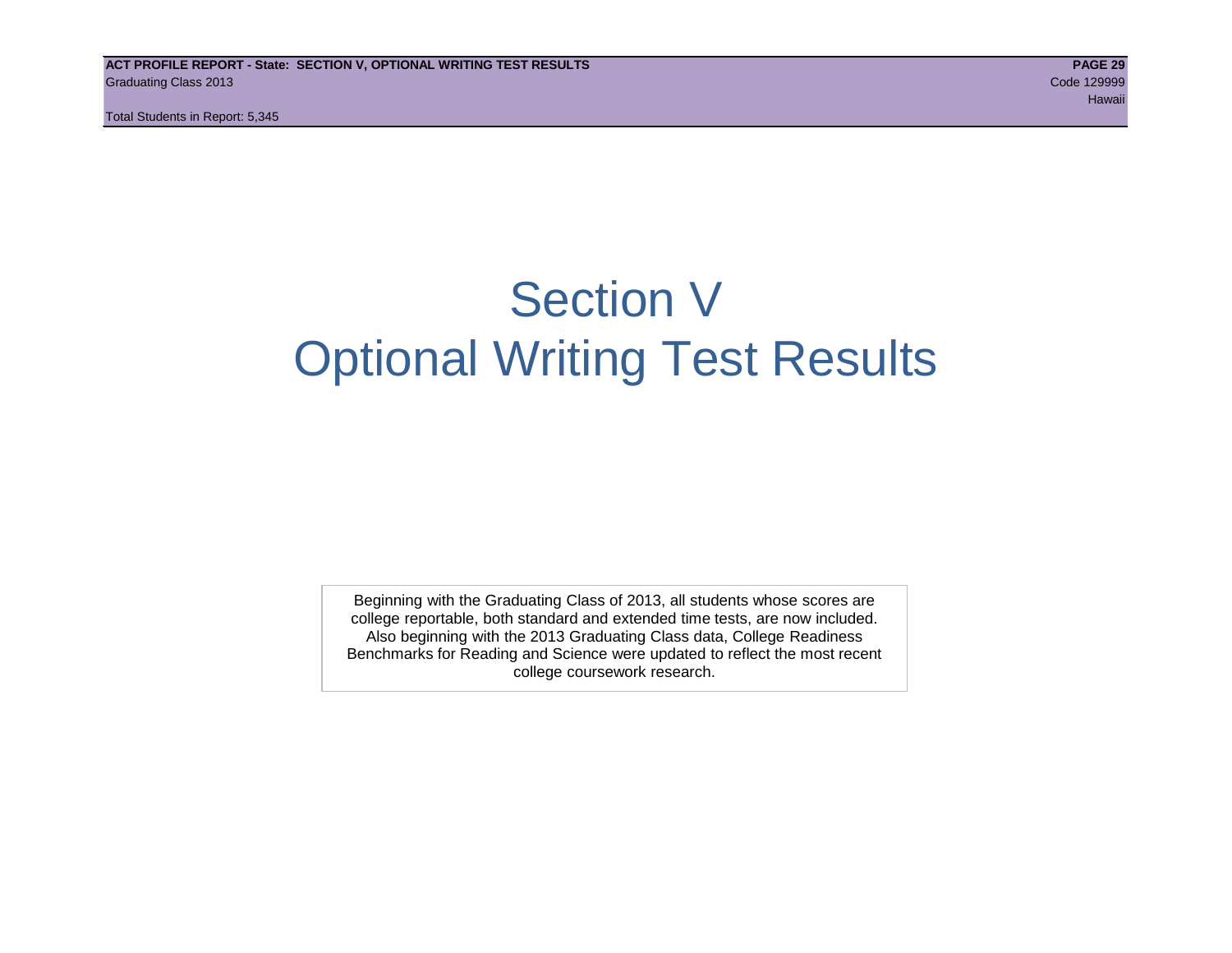Total Students in Report: 5,345

# Section V Optional Writing Test Results

Beginning with the Graduating Class of 2013, all students whose scores are college reportable, both standard and extended time tests, are now included. Also beginning with the 2013 Graduating Class data, College Readiness Benchmarks for Reading and Science were updated to reflect the most recent college coursework research.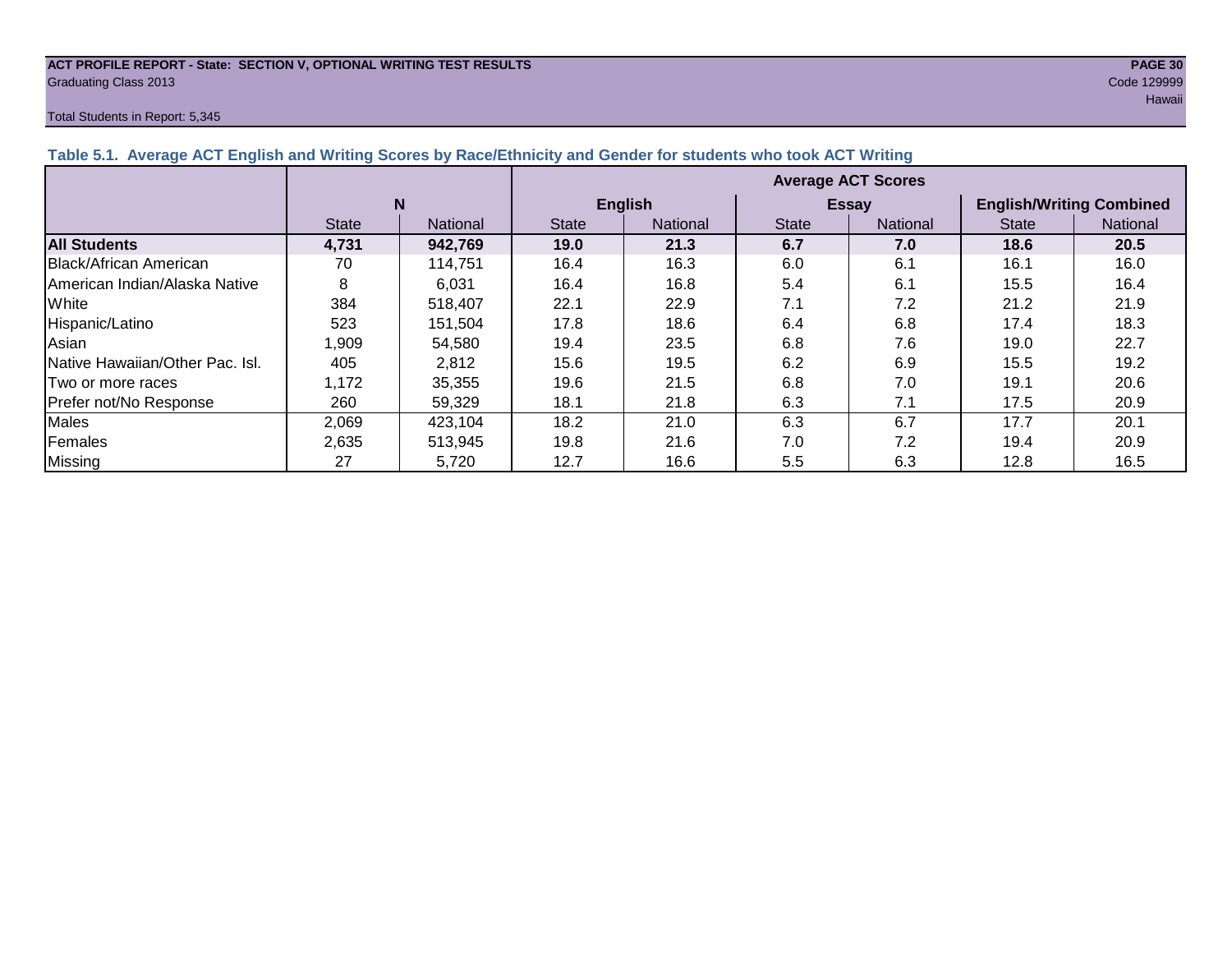#### **ACT PROFILE REPORT - State: SECTION V, OPTIONAL WRITING TEST RESULTS PAGE 30** Graduating Class 2013 Code 129999

#### Total Students in Report: 5,345

| Table J.T. Average AUT Linghon and Whiting Ocoles by Race/Lumbuy and Oender for Students who took AUT Whiting |              |                 |                           |                |              |              |                                 |          |  |  |  |
|---------------------------------------------------------------------------------------------------------------|--------------|-----------------|---------------------------|----------------|--------------|--------------|---------------------------------|----------|--|--|--|
|                                                                                                               |              |                 | <b>Average ACT Scores</b> |                |              |              |                                 |          |  |  |  |
|                                                                                                               | N            |                 |                           | <b>English</b> |              | <b>Essay</b> | <b>English/Writing Combined</b> |          |  |  |  |
|                                                                                                               | <b>State</b> | <b>National</b> | <b>State</b>              | National       | <b>State</b> | National     | <b>State</b>                    | National |  |  |  |
| <b>All Students</b>                                                                                           | 4,731        | 942,769         | 19.0                      | 21.3           | 6.7          | 7.0          | 18.6                            | 20.5     |  |  |  |
| <b>Black/African American</b>                                                                                 | 70           | 114,751         | 16.4                      | 16.3           | 6.0          | 6.1          | 16.1                            | 16.0     |  |  |  |
| American Indian/Alaska Native                                                                                 | 8            | 6,031           | 16.4                      | 16.8           | 5.4          | 6.1          | 15.5                            | 16.4     |  |  |  |
| White                                                                                                         | 384          | 518,407         | 22.1                      | 22.9           | 7.1          | 7.2          | 21.2                            | 21.9     |  |  |  |
| Hispanic/Latino                                                                                               | 523          | 151.504         | 17.8                      | 18.6           | 6.4          | 6.8          | 17.4                            | 18.3     |  |  |  |
| Asian                                                                                                         | 0.909        | 54,580          | 19.4                      | 23.5           | 6.8          | 7.6          | 19.0                            | 22.7     |  |  |  |
| Native Hawaiian/Other Pac. Isl.                                                                               | 405          | 2,812           | 15.6                      | 19.5           | 6.2          | 6.9          | 15.5                            | 19.2     |  |  |  |
| Two or more races                                                                                             | 1,172        | 35,355          | 19.6                      | 21.5           | 6.8          | 7.0          | 19.1                            | 20.6     |  |  |  |
| Prefer not/No Response                                                                                        | 260          | 59.329          | 18.1                      | 21.8           | 6.3          | 7.1          | 17.5                            | 20.9     |  |  |  |
| Males                                                                                                         | 2,069        | 423,104         | 18.2                      | 21.0           | 6.3          | 6.7          | 17.7                            | 20.1     |  |  |  |
| Females                                                                                                       | 2,635        | 513,945         | 19.8                      | 21.6           | 7.0          | 7.2          | 19.4                            | 20.9     |  |  |  |

Missing | 27 | 5,720 | 12.7 | 16.6 | 5.5 | 6.3 | 12.8 | 16.5

#### **Table 5.1. Average ACT English and Writing Scores by Race/Ethnicity and Gender for students who took ACT Writing**